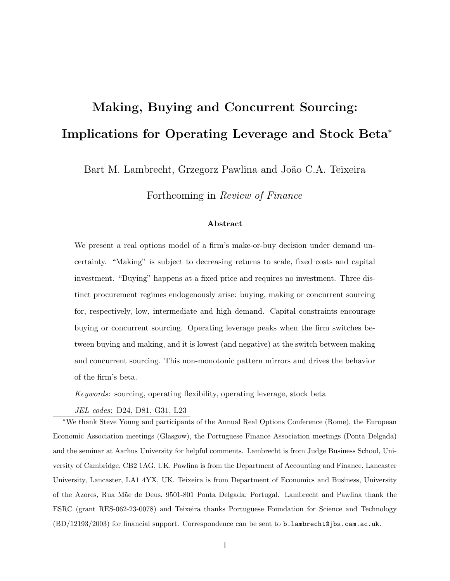# Making, Buying and Concurrent Sourcing: Implications for Operating Leverage and Stock Beta<sup>∗</sup>

Bart M. Lambrecht, Grzegorz Pawlina and João C.A. Teixeira

Forthcoming in Review of Finance

#### Abstract

We present a real options model of a firm's make-or-buy decision under demand uncertainty. "Making" is subject to decreasing returns to scale, fixed costs and capital investment. "Buying" happens at a fixed price and requires no investment. Three distinct procurement regimes endogenously arise: buying, making or concurrent sourcing for, respectively, low, intermediate and high demand. Capital constraints encourage buying or concurrent sourcing. Operating leverage peaks when the firm switches between buying and making, and it is lowest (and negative) at the switch between making and concurrent sourcing. This non-monotonic pattern mirrors and drives the behavior of the firm's beta.

Keywords: sourcing, operating flexibility, operating leverage, stock beta

JEL codes: D24, D81, G31, L23

<sup>∗</sup>We thank Steve Young and participants of the Annual Real Options Conference (Rome), the European Economic Association meetings (Glasgow), the Portuguese Finance Association meetings (Ponta Delgada) and the seminar at Aarhus University for helpful comments. Lambrecht is from Judge Business School, University of Cambridge, CB2 1AG, UK. Pawlina is from the Department of Accounting and Finance, Lancaster University, Lancaster, LA1 4YX, UK. Teixeira is from Department of Economics and Business, University of the Azores, Rua M˜ae de Deus, 9501-801 Ponta Delgada, Portugal. Lambrecht and Pawlina thank the ESRC (grant RES-062-23-0078) and Teixeira thanks Portuguese Foundation for Science and Technology (BD/12193/2003) for financial support. Correspondence can be sent to b.lambrecht@jbs.cam.ac.uk.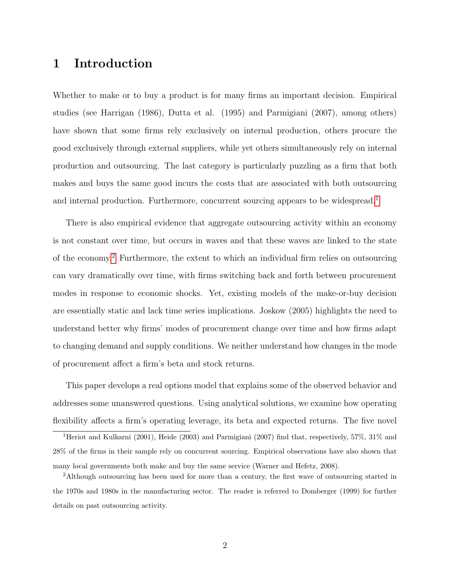## 1 Introduction

Whether to make or to buy a product is for many firms an important decision. Empirical studies (see Harrigan (1986), Dutta et al. (1995) and Parmigiani (2007), among others) have shown that some firms rely exclusively on internal production, others procure the good exclusively through external suppliers, while yet others simultaneously rely on internal production and outsourcing. The last category is particularly puzzling as a firm that both makes and buys the same good incurs the costs that are associated with both outsourcing and internal production. Furthermore, concurrent sourcing appears to be widespread.<sup>[1](#page-1-0)</sup>

There is also empirical evidence that aggregate outsourcing activity within an economy is not constant over time, but occurs in waves and that these waves are linked to the state of the economy.[2](#page-1-1) Furthermore, the extent to which an individual firm relies on outsourcing can vary dramatically over time, with firms switching back and forth between procurement modes in response to economic shocks. Yet, existing models of the make-or-buy decision are essentially static and lack time series implications. Joskow (2005) highlights the need to understand better why firms' modes of procurement change over time and how firms adapt to changing demand and supply conditions. We neither understand how changes in the mode of procurement affect a firm's beta and stock returns.

This paper develops a real options model that explains some of the observed behavior and addresses some unanswered questions. Using analytical solutions, we examine how operating flexibility affects a firm's operating leverage, its beta and expected returns. The five novel

<span id="page-1-0"></span><sup>1</sup>Heriot and Kulkarni (2001), Heide (2003) and Parmigiani (2007) find that, respectively, 57%, 31% and 28% of the firms in their sample rely on concurrent sourcing. Empirical observations have also shown that many local governments both make and buy the same service (Warner and Hefetz, 2008).

<span id="page-1-1"></span><sup>2</sup>Although outsourcing has been used for more than a century, the first wave of outsourcing started in the 1970s and 1980s in the manufacturing sector. The reader is referred to Domberger (1999) for further details on past outsourcing activity.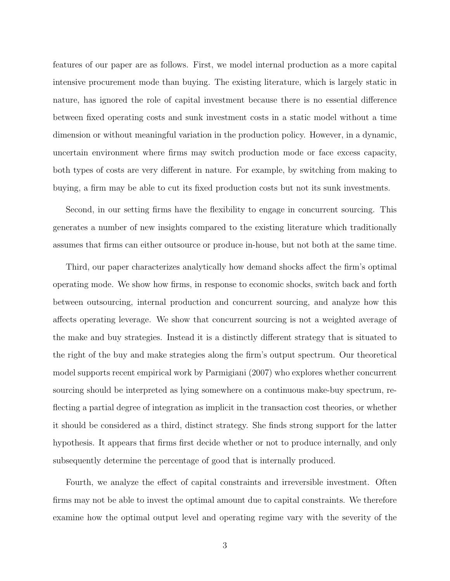features of our paper are as follows. First, we model internal production as a more capital intensive procurement mode than buying. The existing literature, which is largely static in nature, has ignored the role of capital investment because there is no essential difference between fixed operating costs and sunk investment costs in a static model without a time dimension or without meaningful variation in the production policy. However, in a dynamic, uncertain environment where firms may switch production mode or face excess capacity, both types of costs are very different in nature. For example, by switching from making to buying, a firm may be able to cut its fixed production costs but not its sunk investments.

Second, in our setting firms have the flexibility to engage in concurrent sourcing. This generates a number of new insights compared to the existing literature which traditionally assumes that firms can either outsource or produce in-house, but not both at the same time.

Third, our paper characterizes analytically how demand shocks affect the firm's optimal operating mode. We show how firms, in response to economic shocks, switch back and forth between outsourcing, internal production and concurrent sourcing, and analyze how this affects operating leverage. We show that concurrent sourcing is not a weighted average of the make and buy strategies. Instead it is a distinctly different strategy that is situated to the right of the buy and make strategies along the firm's output spectrum. Our theoretical model supports recent empirical work by Parmigiani (2007) who explores whether concurrent sourcing should be interpreted as lying somewhere on a continuous make-buy spectrum, reflecting a partial degree of integration as implicit in the transaction cost theories, or whether it should be considered as a third, distinct strategy. She finds strong support for the latter hypothesis. It appears that firms first decide whether or not to produce internally, and only subsequently determine the percentage of good that is internally produced.

Fourth, we analyze the effect of capital constraints and irreversible investment. Often firms may not be able to invest the optimal amount due to capital constraints. We therefore examine how the optimal output level and operating regime vary with the severity of the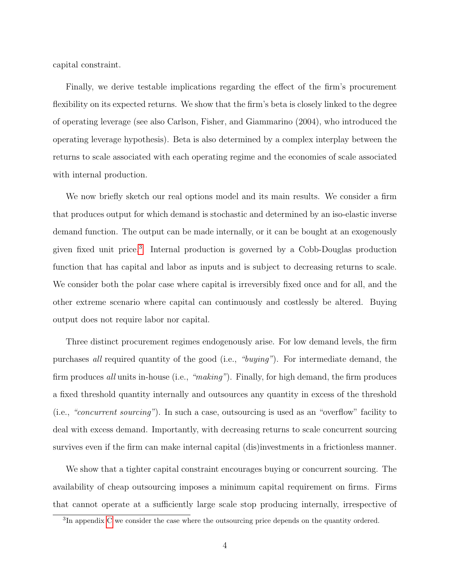capital constraint.

Finally, we derive testable implications regarding the effect of the firm's procurement flexibility on its expected returns. We show that the firm's beta is closely linked to the degree of operating leverage (see also Carlson, Fisher, and Giammarino (2004), who introduced the operating leverage hypothesis). Beta is also determined by a complex interplay between the returns to scale associated with each operating regime and the economies of scale associated with internal production.

We now briefly sketch our real options model and its main results. We consider a firm that produces output for which demand is stochastic and determined by an iso-elastic inverse demand function. The output can be made internally, or it can be bought at an exogenously given fixed unit price.<sup>[3](#page-3-0)</sup> Internal production is governed by a Cobb-Douglas production function that has capital and labor as inputs and is subject to decreasing returns to scale. We consider both the polar case where capital is irreversibly fixed once and for all, and the other extreme scenario where capital can continuously and costlessly be altered. Buying output does not require labor nor capital.

Three distinct procurement regimes endogenously arise. For low demand levels, the firm purchases all required quantity of the good (i.e., "buying"). For intermediate demand, the firm produces all units in-house (i.e., "*making*"). Finally, for high demand, the firm produces a fixed threshold quantity internally and outsources any quantity in excess of the threshold (i.e., "concurrent sourcing"). In such a case, outsourcing is used as an "overflow" facility to deal with excess demand. Importantly, with decreasing returns to scale concurrent sourcing survives even if the firm can make internal capital (dis)investments in a frictionless manner.

We show that a tighter capital constraint encourages buying or concurrent sourcing. The availability of cheap outsourcing imposes a minimum capital requirement on firms. Firms that cannot operate at a sufficiently large scale stop producing internally, irrespective of

<span id="page-3-0"></span><sup>&</sup>lt;sup>3</sup>In appendix [C](#page-38-0) we consider the case where the outsourcing price depends on the quantity ordered.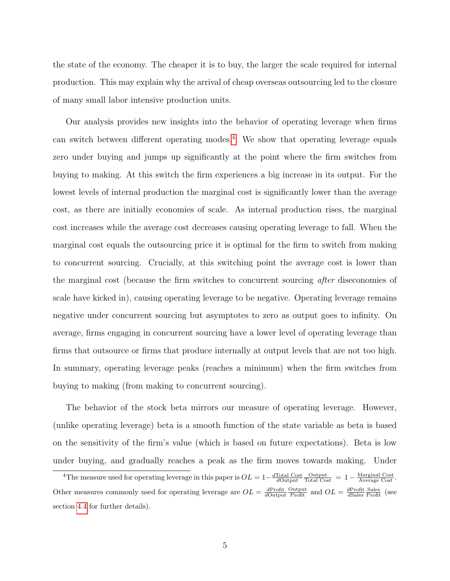the state of the economy. The cheaper it is to buy, the larger the scale required for internal production. This may explain why the arrival of cheap overseas outsourcing led to the closure of many small labor intensive production units.

Our analysis provides new insights into the behavior of operating leverage when firms can switch between different operating modes.<sup>[4](#page-4-0)</sup> We show that operating leverage equals zero under buying and jumps up significantly at the point where the firm switches from buying to making. At this switch the firm experiences a big increase in its output. For the lowest levels of internal production the marginal cost is significantly lower than the average cost, as there are initially economies of scale. As internal production rises, the marginal cost increases while the average cost decreases causing operating leverage to fall. When the marginal cost equals the outsourcing price it is optimal for the firm to switch from making to concurrent sourcing. Crucially, at this switching point the average cost is lower than the marginal cost (because the firm switches to concurrent sourcing after diseconomies of scale have kicked in), causing operating leverage to be negative. Operating leverage remains negative under concurrent sourcing but asymptotes to zero as output goes to infinity. On average, firms engaging in concurrent sourcing have a lower level of operating leverage than firms that outsource or firms that produce internally at output levels that are not too high. In summary, operating leverage peaks (reaches a minimum) when the firm switches from buying to making (from making to concurrent sourcing).

The behavior of the stock beta mirrors our measure of operating leverage. However, (unlike operating leverage) beta is a smooth function of the state variable as beta is based on the sensitivity of the firm's value (which is based on future expectations). Beta is low under buying, and gradually reaches a peak as the firm moves towards making. Under

<span id="page-4-0"></span><sup>&</sup>lt;sup>4</sup>The measure used for operating leverage in this paper is  $OL = 1 - \frac{d\text{Total Cost}}{d\text{Output}} \frac{\text{Output}}{\text{Total Cost}} = 1 - \frac{\text{Marginal Cost}}{\text{Average Cost}}$ . Other measures commonly used for operating leverage are  $OL = \frac{d\text{Profit}}{d\text{Output}} \frac{\text{Output}}{\text{Profit}}$  and  $OL = \frac{d\text{Profit}}{d\text{Sales}} \frac{\text{Sales}}{\text{Profit}}$  (see section [4.4](#page-24-0) for further details).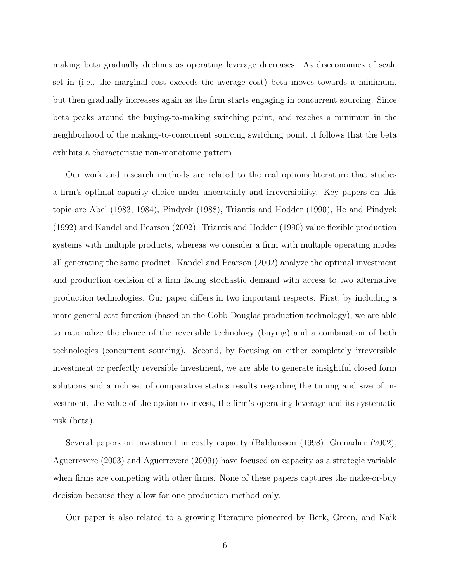making beta gradually declines as operating leverage decreases. As diseconomies of scale set in (i.e., the marginal cost exceeds the average cost) beta moves towards a minimum, but then gradually increases again as the firm starts engaging in concurrent sourcing. Since beta peaks around the buying-to-making switching point, and reaches a minimum in the neighborhood of the making-to-concurrent sourcing switching point, it follows that the beta exhibits a characteristic non-monotonic pattern.

Our work and research methods are related to the real options literature that studies a firm's optimal capacity choice under uncertainty and irreversibility. Key papers on this topic are Abel (1983, 1984), Pindyck (1988), Triantis and Hodder (1990), He and Pindyck (1992) and Kandel and Pearson (2002). Triantis and Hodder (1990) value flexible production systems with multiple products, whereas we consider a firm with multiple operating modes all generating the same product. Kandel and Pearson (2002) analyze the optimal investment and production decision of a firm facing stochastic demand with access to two alternative production technologies. Our paper differs in two important respects. First, by including a more general cost function (based on the Cobb-Douglas production technology), we are able to rationalize the choice of the reversible technology (buying) and a combination of both technologies (concurrent sourcing). Second, by focusing on either completely irreversible investment or perfectly reversible investment, we are able to generate insightful closed form solutions and a rich set of comparative statics results regarding the timing and size of investment, the value of the option to invest, the firm's operating leverage and its systematic risk (beta).

Several papers on investment in costly capacity (Baldursson (1998), Grenadier (2002), Aguerrevere (2003) and Aguerrevere (2009)) have focused on capacity as a strategic variable when firms are competing with other firms. None of these papers captures the make-or-buy decision because they allow for one production method only.

Our paper is also related to a growing literature pioneered by Berk, Green, and Naik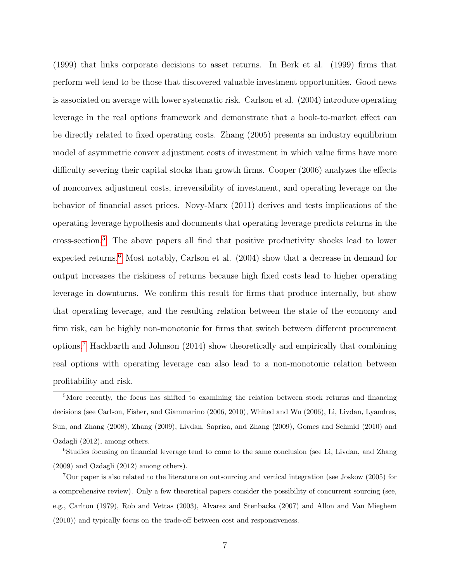(1999) that links corporate decisions to asset returns. In Berk et al. (1999) firms that perform well tend to be those that discovered valuable investment opportunities. Good news is associated on average with lower systematic risk. Carlson et al. (2004) introduce operating leverage in the real options framework and demonstrate that a book-to-market effect can be directly related to fixed operating costs. Zhang (2005) presents an industry equilibrium model of asymmetric convex adjustment costs of investment in which value firms have more difficulty severing their capital stocks than growth firms. Cooper (2006) analyzes the effects of nonconvex adjustment costs, irreversibility of investment, and operating leverage on the behavior of financial asset prices. Novy-Marx (2011) derives and tests implications of the operating leverage hypothesis and documents that operating leverage predicts returns in the cross-section.[5](#page-6-0) The above papers all find that positive productivity shocks lead to lower expected returns.<sup>[6](#page-6-1)</sup> Most notably, Carlson et al. (2004) show that a decrease in demand for output increases the riskiness of returns because high fixed costs lead to higher operating leverage in downturns. We confirm this result for firms that produce internally, but show that operating leverage, and the resulting relation between the state of the economy and firm risk, can be highly non-monotonic for firms that switch between different procurement options.[7](#page-6-2) Hackbarth and Johnson (2014) show theoretically and empirically that combining real options with operating leverage can also lead to a non-monotonic relation between profitability and risk.

<span id="page-6-0"></span><sup>5</sup>More recently, the focus has shifted to examining the relation between stock returns and financing decisions (see Carlson, Fisher, and Giammarino (2006, 2010), Whited and Wu (2006), Li, Livdan, Lyandres, Sun, and Zhang (2008), Zhang (2009), Livdan, Sapriza, and Zhang (2009), Gomes and Schmid (2010) and Ozdagli (2012), among others.

<span id="page-6-1"></span><sup>6</sup>Studies focusing on financial leverage tend to come to the same conclusion (see Li, Livdan, and Zhang (2009) and Ozdagli (2012) among others).

<span id="page-6-2"></span><sup>7</sup>Our paper is also related to the literature on outsourcing and vertical integration (see Joskow (2005) for a comprehensive review). Only a few theoretical papers consider the possibility of concurrent sourcing (see, e.g., Carlton (1979), Rob and Vettas (2003), Alvarez and Stenbacka (2007) and Allon and Van Mieghem (2010)) and typically focus on the trade-off between cost and responsiveness.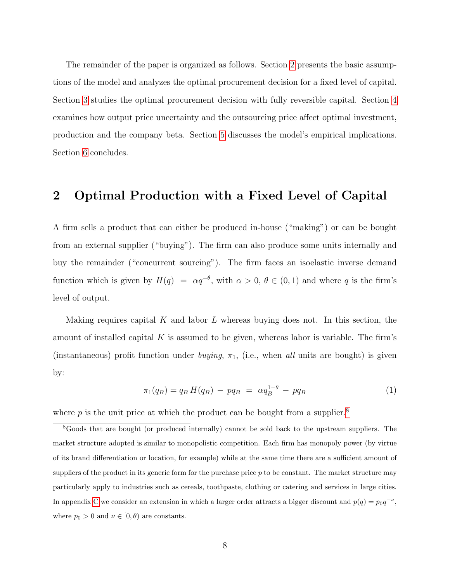The remainder of the paper is organized as follows. Section [2](#page-7-0) presents the basic assumptions of the model and analyzes the optimal procurement decision for a fixed level of capital. Section [3](#page-12-0) studies the optimal procurement decision with fully reversible capital. Section [4](#page-14-0) examines how output price uncertainty and the outsourcing price affect optimal investment, production and the company beta. Section [5](#page-30-0) discusses the model's empirical implications. Section [6](#page-32-0) concludes.

## <span id="page-7-0"></span>2 Optimal Production with a Fixed Level of Capital

A firm sells a product that can either be produced in-house ("making") or can be bought from an external supplier ("buying"). The firm can also produce some units internally and buy the remainder ("concurrent sourcing"). The firm faces an isoelastic inverse demand function which is given by  $H(q) = \alpha q^{-\theta}$ , with  $\alpha > 0$ ,  $\theta \in (0, 1)$  and where q is the firm's level of output.

Making requires capital K and labor L whereas buying does not. In this section, the amount of installed capital K is assumed to be given, whereas labor is variable. The firm's (instantaneous) profit function under *buying*,  $\pi_1$ , (i.e., when all units are bought) is given by:

$$
\pi_1(q_B) = q_B H(q_B) - pq_B = \alpha q_B^{1-\theta} - pq_B \tag{1}
$$

<span id="page-7-1"></span>where  $p$  is the unit price at which the product can be bought from a supplier.<sup>[8](#page-7-1)</sup>

<sup>8</sup>Goods that are bought (or produced internally) cannot be sold back to the upstream suppliers. The market structure adopted is similar to monopolistic competition. Each firm has monopoly power (by virtue of its brand differentiation or location, for example) while at the same time there are a sufficient amount of suppliers of the product in its generic form for the purchase price  $p$  to be constant. The market structure may particularly apply to industries such as cereals, toothpaste, clothing or catering and services in large cities. In appendix [C](#page-38-0) we consider an extension in which a larger order attracts a bigger discount and  $p(q) = p_0 q^{-\nu}$ , where  $p_0 > 0$  and  $\nu \in [0, \theta)$  are constants.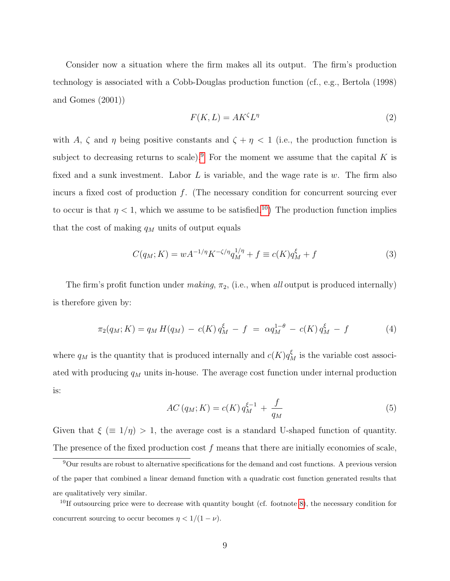Consider now a situation where the firm makes all its output. The firm's production technology is associated with a Cobb-Douglas production function (cf., e.g., Bertola (1998) and Gomes (2001))

$$
F(K, L) = AK^{\zeta}L^{\eta}
$$
\n<sup>(2)</sup>

with A,  $\zeta$  and  $\eta$  being positive constants and  $\zeta + \eta < 1$  (i.e., the production function is subject to decreasing returns to scale).<sup>[9](#page-8-0)</sup> For the moment we assume that the capital K is fixed and a sunk investment. Labor  $L$  is variable, and the wage rate is  $w$ . The firm also incurs a fixed cost of production  $f$ . (The necessary condition for concurrent sourcing ever to occur is that  $\eta < 1$ , which we assume to be satisfied.<sup>[10](#page-8-1)</sup>) The production function implies that the cost of making  $q_M$  units of output equals

<span id="page-8-2"></span>
$$
C(q_M; K) = w A^{-1/\eta} K^{-\zeta/\eta} q_M^{1/\eta} + f \equiv c(K) q_M^{\xi} + f \tag{3}
$$

The firm's profit function under making,  $\pi_2$ , (i.e., when all output is produced internally) is therefore given by:

$$
\pi_2(q_M; K) = q_M H(q_M) - c(K) q_M^{\xi} - f = \alpha q_M^{1-\theta} - c(K) q_M^{\xi} - f \tag{4}
$$

where  $q_M$  is the quantity that is produced internally and  $c(K)q_M^{\xi}$  is the variable cost associated with producing  $q_M$  units in-house. The average cost function under internal production is:

$$
AC(q_M; K) = c(K) q_M^{\xi - 1} + \frac{f}{q_M}
$$
\n(5)

Given that  $\xi \equiv 1/\eta$  > 1, the average cost is a standard U-shaped function of quantity. The presence of the fixed production cost  $f$  means that there are initially economies of scale,

<span id="page-8-0"></span><sup>&</sup>lt;sup>9</sup>Our results are robust to alternative specifications for the demand and cost functions. A previous version of the paper that combined a linear demand function with a quadratic cost function generated results that are qualitatively very similar.

<span id="page-8-1"></span> $10$ If outsourcing price were to decrease with quantity bought (cf. footnote [8\)](#page-7-1), the necessary condition for concurrent sourcing to occur becomes  $\eta < 1/(1 - \nu)$ .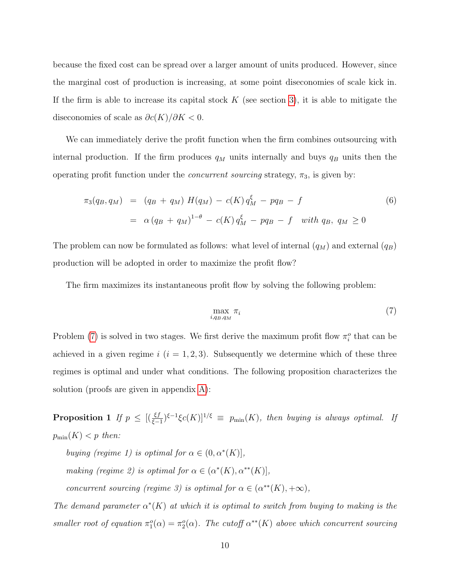because the fixed cost can be spread over a larger amount of units produced. However, since the marginal cost of production is increasing, at some point diseconomies of scale kick in. If the firm is able to increase its capital stock  $K$  (see section [3\)](#page-12-0), it is able to mitigate the diseconomies of scale as  $\partial c(K)/\partial K < 0$ .

We can immediately derive the profit function when the firm combines outsourcing with internal production. If the firm produces  $q_M$  units internally and buys  $q_B$  units then the operating profit function under the *concurrent sourcing* strategy,  $\pi_3$ , is given by:

$$
\pi_3(q_B, q_M) = (q_B + q_M) H(q_M) - c(K) q_M^{\xi} - pq_B - f
$$
\n
$$
= \alpha (q_B + q_M)^{1-\theta} - c(K) q_M^{\xi} - pq_B - f \quad with \ q_B, \ q_M \ge 0
$$
\n(6)

The problem can now be formulated as follows: what level of internal  $(q_M)$  and external  $(q_B)$ production will be adopted in order to maximize the profit flow?

The firm maximizes its instantaneous profit flow by solving the following problem:

<span id="page-9-1"></span><span id="page-9-0"></span>
$$
\max_{i,q_B,q_M} \pi_i \tag{7}
$$

Problem [\(7\)](#page-9-0) is solved in two stages. We first derive the maximum profit flow  $\pi_i^o$  that can be achieved in a given regime  $i$   $(i = 1, 2, 3)$ . Subsequently we determine which of these three regimes is optimal and under what conditions. The following proposition characterizes the solution (proofs are given in appendix [A\)](#page-34-0):

**Proposition 1** If  $p \leq [(\frac{\xi f}{\xi-1})^{\xi-1} \xi c(K)]^{1/\xi} \equiv p_{\min}(K)$ , then buying is always optimal. If  $p_{\min}(K) < p$  then:

buying (regime 1) is optimal for  $\alpha \in (0, \alpha^*(K))$ , making (regime 2) is optimal for  $\alpha \in (\alpha^*(K), \alpha^{**}(K))$ , concurrent sourcing (regime 3) is optimal for  $\alpha \in (\alpha^{**}(K), +\infty)$ ,

The demand parameter  $\alpha^*(K)$  at which it is optimal to switch from buying to making is the smaller root of equation  $\pi_1^o(\alpha) = \pi_2^o(\alpha)$ . The cutoff  $\alpha^{**}(K)$  above which concurrent sourcing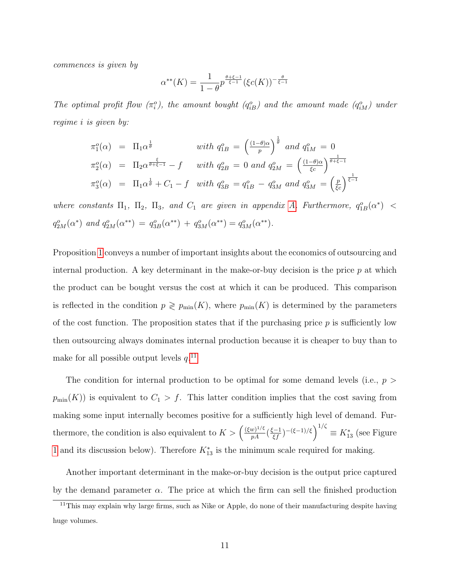commences is given by

$$
\alpha^{**}(K) = \frac{1}{1-\theta} p^{\frac{\theta+\xi-1}{\xi-1}} (\xi c(K))^{-\frac{\theta}{\xi-1}}
$$

The optimal profit flow  $(\pi_i^o)$ , the amount bought  $(q_{iB}^o)$  and the amount made  $(q_{iM}^o)$  under regime i is given by:

$$
\pi_1^o(\alpha) = \Pi_1 \alpha^{\frac{1}{\theta}} \qquad \text{with } q_{1B}^o = \left(\frac{(1-\theta)\alpha}{p}\right)^{\frac{1}{\theta}} \text{ and } q_{1M}^o = 0
$$
\n
$$
\pi_2^o(\alpha) = \Pi_2 \alpha^{\frac{\xi}{\theta + \xi - 1}} - f \qquad \text{with } q_{2B}^o = 0 \text{ and } q_{2M}^o = \left(\frac{(1-\theta)\alpha}{\xi c}\right)^{\frac{1}{\theta + \xi - 1}}
$$
\n
$$
\pi_3^o(\alpha) = \Pi_1 \alpha^{\frac{1}{\theta}} + C_1 - f \quad \text{with } q_{3B}^o = q_{1B}^o - q_{3M}^o \text{ and } q_{3M}^o = \left(\frac{p}{\xi c}\right)^{\frac{1}{\xi - 1}}
$$

where constants  $\Pi_1$ ,  $\Pi_2$ ,  $\Pi_3$ , and  $C_1$  are given in appendix [A.](#page-34-0) Furthermore,  $q_{1B}^o(\alpha^*)$  <  $q_{2M}^o(\alpha^*)$  and  $q_{2M}^o(\alpha^{**}) = q_{3B}^o(\alpha^{**}) + q_{3M}^o(\alpha^{**}) = q_{3M}^o(\alpha^{**}).$ 

Proposition [1](#page-9-1) conveys a number of important insights about the economics of outsourcing and internal production. A key determinant in the make-or-buy decision is the price  $p$  at which the product can be bought versus the cost at which it can be produced. This comparison is reflected in the condition  $p \geq p_{\min}(K)$ , where  $p_{\min}(K)$  is determined by the parameters of the cost function. The proposition states that if the purchasing price  $p$  is sufficiently low then outsourcing always dominates internal production because it is cheaper to buy than to make for all possible output levels  $q$ <sup>[11](#page-10-0)</sup>

The condition for internal production to be optimal for some demand levels (i.e.,  $p >$  $p_{\min}(K)$  is equivalent to  $C_1 > f$ . This latter condition implies that the cost saving from making some input internally becomes positive for a sufficiently high level of demand. Furthermore, the condition is also equivalent to  $K > \left(\frac{(\xi w)^{1/\xi}}{pA}(\frac{\xi-1}{\xi f})^{-(\xi-1)/\xi}\right)^{1/\zeta} \equiv K_{13}^*$  (see Figure [1](#page-45-0) and its discussion below). Therefore  $K_{13}^*$  is the minimum scale required for making.

Another important determinant in the make-or-buy decision is the output price captured by the demand parameter  $\alpha$ . The price at which the firm can sell the finished production

<span id="page-10-0"></span><sup>11</sup>This may explain why large firms, such as Nike or Apple, do none of their manufacturing despite having huge volumes.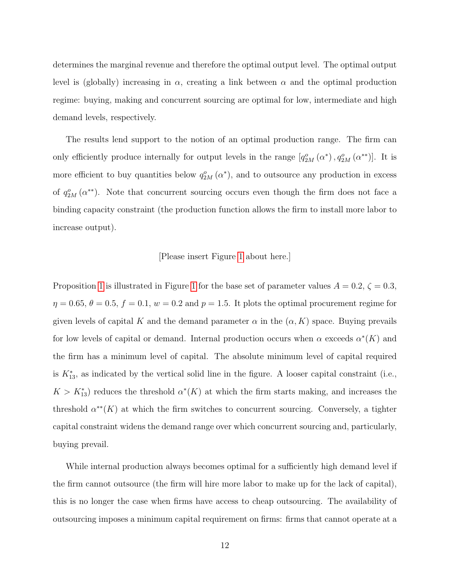determines the marginal revenue and therefore the optimal output level. The optimal output level is (globally) increasing in  $\alpha$ , creating a link between  $\alpha$  and the optimal production regime: buying, making and concurrent sourcing are optimal for low, intermediate and high demand levels, respectively.

The results lend support to the notion of an optimal production range. The firm can only efficiently produce internally for output levels in the range  $[q_{2M}^o(\alpha^*), q_{2M}^o(\alpha^{**})]$ . It is more efficient to buy quantities below  $q_{2M}^o(\alpha^*)$ , and to outsource any production in excess of  $q_{2M}^o(\alpha^{**})$ . Note that concurrent sourcing occurs even though the firm does not face a binding capacity constraint (the production function allows the firm to install more labor to increase output).

#### [Please insert Figure [1](#page-45-0) about here.]

Proposition [1](#page-45-0) is illustrated in Figure 1 for the base set of parameter values  $A = 0.2$ ,  $\zeta = 0.3$ ,  $\eta = 0.65, \theta = 0.5, f = 0.1, w = 0.2$  and  $p = 1.5$ . It plots the optimal procurement regime for given levels of capital K and the demand parameter  $\alpha$  in the  $(\alpha, K)$  space. Buying prevails for low levels of capital or demand. Internal production occurs when  $\alpha$  exceeds  $\alpha^*(K)$  and the firm has a minimum level of capital. The absolute minimum level of capital required is  $K_{13}^*$ , as indicated by the vertical solid line in the figure. A looser capital constraint (i.e.,  $K > K_{13}^*$  reduces the threshold  $\alpha^*(K)$  at which the firm starts making, and increases the threshold  $\alpha^{**}(K)$  at which the firm switches to concurrent sourcing. Conversely, a tighter capital constraint widens the demand range over which concurrent sourcing and, particularly, buying prevail.

While internal production always becomes optimal for a sufficiently high demand level if the firm cannot outsource (the firm will hire more labor to make up for the lack of capital), this is no longer the case when firms have access to cheap outsourcing. The availability of outsourcing imposes a minimum capital requirement on firms: firms that cannot operate at a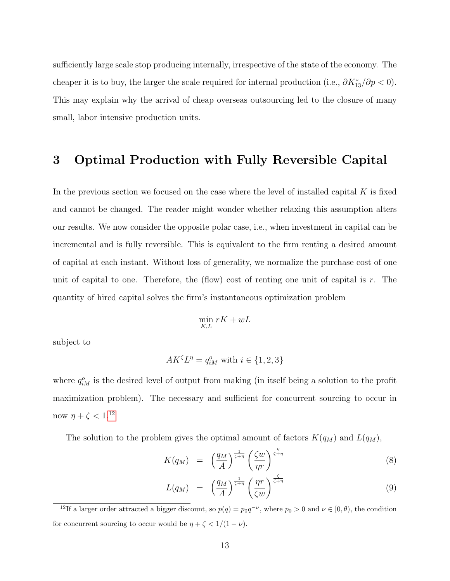sufficiently large scale stop producing internally, irrespective of the state of the economy. The cheaper it is to buy, the larger the scale required for internal production (i.e.,  $\partial K_{13}^* / \partial p < 0$ ). This may explain why the arrival of cheap overseas outsourcing led to the closure of many small, labor intensive production units.

## <span id="page-12-0"></span>3 Optimal Production with Fully Reversible Capital

In the previous section we focused on the case where the level of installed capital  $K$  is fixed and cannot be changed. The reader might wonder whether relaxing this assumption alters our results. We now consider the opposite polar case, i.e., when investment in capital can be incremental and is fully reversible. This is equivalent to the firm renting a desired amount of capital at each instant. Without loss of generality, we normalize the purchase cost of one unit of capital to one. Therefore, the  $(flow)$  cost of renting one unit of capital is r. The quantity of hired capital solves the firm's instantaneous optimization problem

$$
\min_{K,L}\,rK+wL
$$

subject to

$$
AK^{\zeta}L^{\eta} = q_{iM}^{o} \text{ with } i \in \{1, 2, 3\}
$$

where  $q_{iM}^o$  is the desired level of output from making (in itself being a solution to the profit maximization problem). The necessary and sufficient for concurrent sourcing to occur in now  $\eta + \zeta < 1.12$  $\eta + \zeta < 1.12$ 

The solution to the problem gives the optimal amount of factors  $K(q_M)$  and  $L(q_M)$ ,

<span id="page-12-2"></span>
$$
K(q_M) = \left(\frac{q_M}{A}\right)^{\frac{1}{\zeta+\eta}} \left(\frac{\zeta w}{\eta r}\right)^{\frac{\eta}{\zeta+\eta}}
$$
(8)

$$
L(q_M) = \left(\frac{q_M}{A}\right)^{\frac{1}{\zeta+\eta}} \left(\frac{\eta r}{\zeta w}\right)^{\frac{\zeta}{\zeta+\eta}}
$$
(9)

<span id="page-12-1"></span><sup>&</sup>lt;sup>12</sup>If a larger order attracted a bigger discount, so  $p(q) = p_0 q^{-\nu}$ , where  $p_0 > 0$  and  $\nu \in [0, \theta)$ , the condition for concurrent sourcing to occur would be  $\eta + \zeta < 1/(1 - \nu)$ .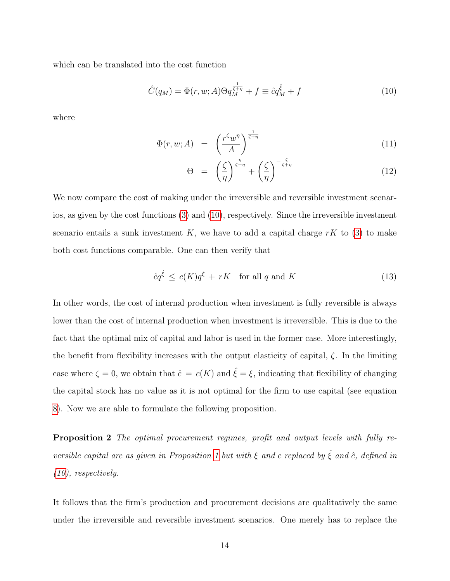which can be translated into the cost function

<span id="page-13-0"></span>
$$
\hat{C}(q_M) = \Phi(r, w; A)\Theta q_M^{\frac{1}{\zeta + \eta}} + f \equiv \hat{c}q_M^{\hat{\xi}} + f \tag{10}
$$

where

$$
\Phi(r, w; A) = \left(\frac{r^{\zeta} w^{\eta}}{A}\right)^{\frac{1}{\zeta + \eta}}
$$
\n(11)

$$
\Theta = \left(\frac{\zeta}{\eta}\right)^{\frac{\eta}{\zeta+\eta}} + \left(\frac{\zeta}{\eta}\right)^{-\frac{\zeta}{\zeta+\eta}}
$$
(12)

We now compare the cost of making under the irreversible and reversible investment scenarios, as given by the cost functions [\(3\)](#page-8-2) and [\(10\)](#page-13-0), respectively. Since the irreversible investment scenario entails a sunk investment  $K$ , we have to add a capital charge  $rK$  to [\(3\)](#page-8-2) to make both cost functions comparable. One can then verify that

<span id="page-13-1"></span>
$$
\hat{c}q^{\hat{\xi}} \le c(K)q^{\xi} + rK \quad \text{for all } q \text{ and } K \tag{13}
$$

In other words, the cost of internal production when investment is fully reversible is always lower than the cost of internal production when investment is irreversible. This is due to the fact that the optimal mix of capital and labor is used in the former case. More interestingly, the benefit from flexibility increases with the output elasticity of capital,  $\zeta$ . In the limiting case where  $\zeta = 0$ , we obtain that  $\hat{c} = c(K)$  and  $\hat{\zeta} = \xi$ , indicating that flexibility of changing the capital stock has no value as it is not optimal for the firm to use capital (see equation [8\)](#page-12-2). Now we are able to formulate the following proposition.

Proposition 2 The optimal procurement regimes, profit and output levels with fully re-versible capital are as given in Proposition [1](#page-9-1) but with  $\xi$  and c replaced by  $\hat{\xi}$  and  $\hat{c}$ , defined in [\(10\)](#page-13-0), respectively.

It follows that the firm's production and procurement decisions are qualitatively the same under the irreversible and reversible investment scenarios. One merely has to replace the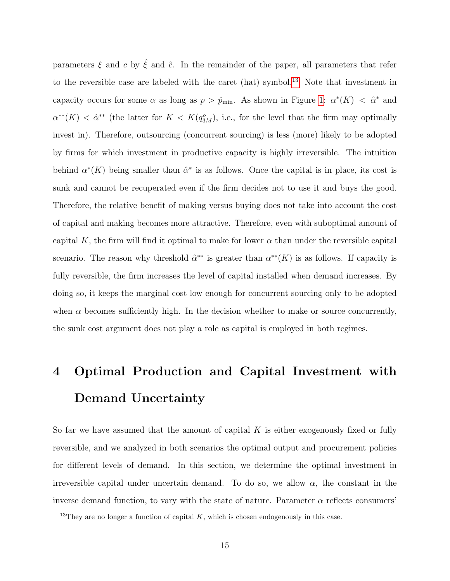parameters  $\xi$  and  $c$  by  $\hat{\xi}$  and  $\hat{c}$ . In the remainder of the paper, all parameters that refer to the reversible case are labeled with the caret (hat) symbol.[13](#page-14-1) Note that investment in capacity occurs for some  $\alpha$  as long as  $p > \hat{p}_{\text{min}}$ . As shown in Figure [1:](#page-45-0)  $\alpha^*(K) < \hat{\alpha}^*$  and  $\alpha^{**}(K) < \hat{\alpha}^{**}$  (the latter for  $K < K(q_{3M}^o)$ , i.e., for the level that the firm may optimally invest in). Therefore, outsourcing (concurrent sourcing) is less (more) likely to be adopted by firms for which investment in productive capacity is highly irreversible. The intuition behind  $\alpha^*(K)$  being smaller than  $\hat{\alpha}^*$  is as follows. Once the capital is in place, its cost is sunk and cannot be recuperated even if the firm decides not to use it and buys the good. Therefore, the relative benefit of making versus buying does not take into account the cost of capital and making becomes more attractive. Therefore, even with suboptimal amount of capital K, the firm will find it optimal to make for lower  $\alpha$  than under the reversible capital scenario. The reason why threshold  $\hat{\alpha}^{**}$  is greater than  $\alpha^{**}(K)$  is as follows. If capacity is fully reversible, the firm increases the level of capital installed when demand increases. By doing so, it keeps the marginal cost low enough for concurrent sourcing only to be adopted when  $\alpha$  becomes sufficiently high. In the decision whether to make or source concurrently, the sunk cost argument does not play a role as capital is employed in both regimes.

# <span id="page-14-0"></span>4 Optimal Production and Capital Investment with Demand Uncertainty

So far we have assumed that the amount of capital  $K$  is either exogenously fixed or fully reversible, and we analyzed in both scenarios the optimal output and procurement policies for different levels of demand. In this section, we determine the optimal investment in irreversible capital under uncertain demand. To do so, we allow  $\alpha$ , the constant in the inverse demand function, to vary with the state of nature. Parameter  $\alpha$  reflects consumers'

<span id="page-14-1"></span> $13$ They are no longer a function of capital K, which is chosen endogenously in this case.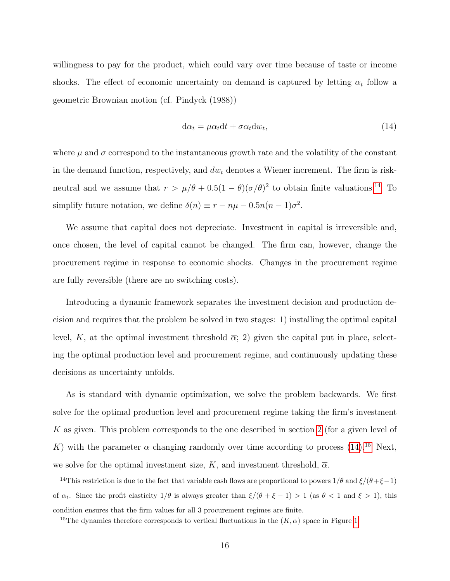willingness to pay for the product, which could vary over time because of taste or income shocks. The effect of economic uncertainty on demand is captured by letting  $\alpha_t$  follow a geometric Brownian motion (cf. Pindyck (1988))

<span id="page-15-1"></span>
$$
d\alpha_t = \mu \alpha_t dt + \sigma \alpha_t dw_t, \qquad (14)
$$

where  $\mu$  and  $\sigma$  correspond to the instantaneous growth rate and the volatility of the constant in the demand function, respectively, and  $dw_t$  denotes a Wiener increment. The firm is riskneutral and we assume that  $r > \mu/\theta + 0.5(1-\theta)(\sigma/\theta)^2$  to obtain finite valuations.<sup>[14](#page-15-0)</sup> To simplify future notation, we define  $\delta(n) \equiv r - n\mu - 0.5n(n-1)\sigma^2$ .

We assume that capital does not depreciate. Investment in capital is irreversible and, once chosen, the level of capital cannot be changed. The firm can, however, change the procurement regime in response to economic shocks. Changes in the procurement regime are fully reversible (there are no switching costs).

Introducing a dynamic framework separates the investment decision and production decision and requires that the problem be solved in two stages: 1) installing the optimal capital level, K, at the optimal investment threshold  $\bar{\alpha}$ ; 2) given the capital put in place, selecting the optimal production level and procurement regime, and continuously updating these decisions as uncertainty unfolds.

As is standard with dynamic optimization, we solve the problem backwards. We first solve for the optimal production level and procurement regime taking the firm's investment K as given. This problem corresponds to the one described in section [2](#page-7-0) (for a given level of K) with the parameter  $\alpha$  changing randomly over time according to process [\(14\)](#page-15-1).<sup>[15](#page-15-2)</sup> Next, we solve for the optimal investment size, K, and investment threshold,  $\overline{\alpha}$ .

<span id="page-15-0"></span><sup>&</sup>lt;sup>14</sup>This restriction is due to the fact that variable cash flows are proportional to powers  $1/\theta$  and  $\xi/(\theta+\xi-1)$ of  $\alpha_t$ . Since the profit elasticity  $1/\theta$  is always greater than  $\xi/(\theta + \xi - 1) > 1$  (as  $\theta < 1$  and  $\xi > 1$ ), this condition ensures that the firm values for all 3 procurement regimes are finite.

<span id="page-15-2"></span><sup>&</sup>lt;sup>15</sup>The dynamics therefore corresponds to vertical fluctuations in the  $(K, \alpha)$  space in Figure [1.](#page-45-0)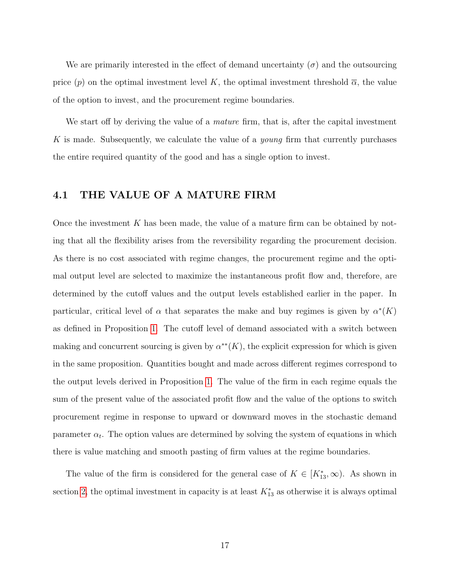We are primarily interested in the effect of demand uncertainty  $(\sigma)$  and the outsourcing price (p) on the optimal investment level K, the optimal investment threshold  $\overline{\alpha}$ , the value of the option to invest, and the procurement regime boundaries.

We start off by deriving the value of a *mature* firm, that is, after the capital investment K is made. Subsequently, we calculate the value of a *young* firm that currently purchases the entire required quantity of the good and has a single option to invest.

#### 4.1 THE VALUE OF A MATURE FIRM

Once the investment K has been made, the value of a mature firm can be obtained by noting that all the flexibility arises from the reversibility regarding the procurement decision. As there is no cost associated with regime changes, the procurement regime and the optimal output level are selected to maximize the instantaneous profit flow and, therefore, are determined by the cutoff values and the output levels established earlier in the paper. In particular, critical level of  $\alpha$  that separates the make and buy regimes is given by  $\alpha^*(K)$ as defined in Proposition [1.](#page-9-1) The cutoff level of demand associated with a switch between making and concurrent sourcing is given by  $\alpha^{**}(K)$ , the explicit expression for which is given in the same proposition. Quantities bought and made across different regimes correspond to the output levels derived in Proposition [1.](#page-9-1) The value of the firm in each regime equals the sum of the present value of the associated profit flow and the value of the options to switch procurement regime in response to upward or downward moves in the stochastic demand parameter  $\alpha_t$ . The option values are determined by solving the system of equations in which there is value matching and smooth pasting of firm values at the regime boundaries.

The value of the firm is considered for the general case of  $K \in [K_{13}^*, \infty)$ . As shown in section [2,](#page-7-0) the optimal investment in capacity is at least  $K_{13}^*$  as otherwise it is always optimal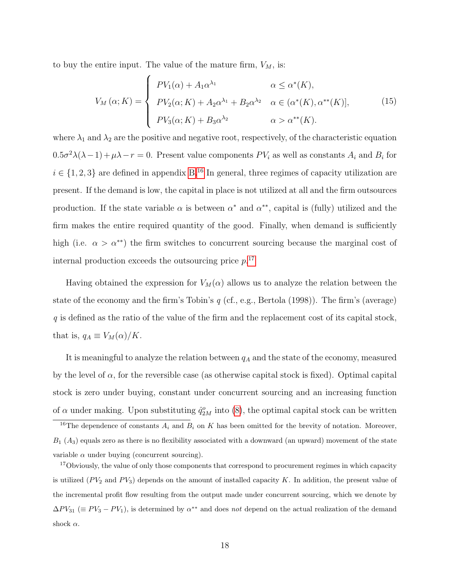to buy the entire input. The value of the mature firm,  $V_M$ , is:

<span id="page-17-2"></span>
$$
V_M(\alpha; K) = \begin{cases} PV_1(\alpha) + A_1 \alpha^{\lambda_1} & \alpha \le \alpha^*(K), \\ PV_2(\alpha; K) + A_2 \alpha^{\lambda_1} + B_2 \alpha^{\lambda_2} & \alpha \in (\alpha^*(K), \alpha^{**}(K)], \\ PV_3(\alpha; K) + B_3 \alpha^{\lambda_2} & \alpha > \alpha^{**}(K). \end{cases}
$$
(15)

where  $\lambda_1$  and  $\lambda_2$  are the positive and negative root, respectively, of the characteristic equation  $0.5\sigma^2\lambda(\lambda-1)+\mu\lambda-r=0$ . Present value components  $PV_i$  as well as constants  $A_i$  and  $B_i$  for  $i \in \{1, 2, 3\}$  are defined in appendix [B.](#page-37-0)<sup>[16](#page-17-0)</sup> In general, three regimes of capacity utilization are present. If the demand is low, the capital in place is not utilized at all and the firm outsources production. If the state variable  $\alpha$  is between  $\alpha^*$  and  $\alpha^{**}$ , capital is (fully) utilized and the firm makes the entire required quantity of the good. Finally, when demand is sufficiently high (i.e.  $\alpha > \alpha^{**}$ ) the firm switches to concurrent sourcing because the marginal cost of internal production exceeds the outsourcing price  $p^{17}$  $p^{17}$  $p^{17}$ .

Having obtained the expression for  $V_M(\alpha)$  allows us to analyze the relation between the state of the economy and the firm's Tobin's  $q$  (cf., e.g., Bertola (1998)). The firm's (average)  $q$  is defined as the ratio of the value of the firm and the replacement cost of its capital stock, that is,  $q_A \equiv V_M(\alpha)/K$ .

It is meaningful to analyze the relation between  $q_A$  and the state of the economy, measured by the level of  $\alpha$ , for the reversible case (as otherwise capital stock is fixed). Optimal capital stock is zero under buying, constant under concurrent sourcing and an increasing function of  $\alpha$  under making. Upon substituting  $\hat{q}_{2M}^o$  into [\(8\)](#page-12-2), the optimal capital stock can be written

<span id="page-17-0"></span><sup>&</sup>lt;sup>16</sup>The dependence of constants  $A_i$  and  $B_i$  on K has been omitted for the brevity of notation. Moreover,  $B_1(A_3)$  equals zero as there is no flexibility associated with a downward (an upward) movement of the state variable  $\alpha$  under buying (concurrent sourcing).

<span id="page-17-1"></span> $17$ Obviously, the value of only those components that correspond to procurement regimes in which capacity is utilized  $(PV<sub>2</sub>$  and  $PV<sub>3</sub>)$  depends on the amount of installed capacity K. In addition, the present value of the incremental profit flow resulting from the output made under concurrent sourcing, which we denote by  $\Delta PV_{31}$  ( $\equiv PV_3 - PV_1$ ), is determined by  $\alpha^{**}$  and does not depend on the actual realization of the demand shock  $\alpha$ .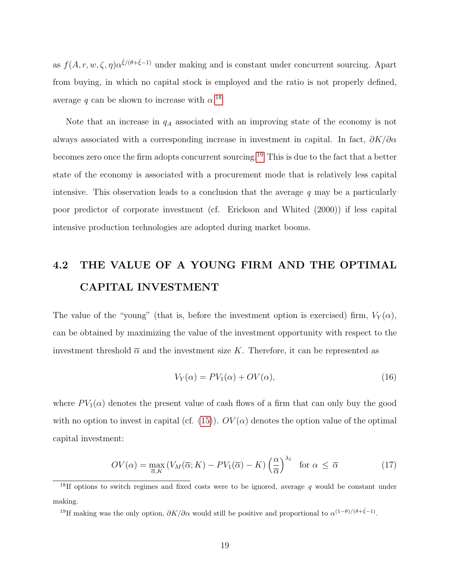as  $f(A, r, w, \zeta, \eta) \alpha^{\hat{\xi}/(\theta + \hat{\xi} - 1)}$  under making and is constant under concurrent sourcing. Apart from buying, in which no capital stock is employed and the ratio is not properly defined, average q can be shown to increase with  $\alpha$ .<sup>[18](#page-18-0)</sup>

Note that an increase in  $q_A$  associated with an improving state of the economy is not always associated with a corresponding increase in investment in capital. In fact,  $\partial K/\partial \alpha$ becomes zero once the firm adopts concurrent sourcing.[19](#page-18-1) This is due to the fact that a better state of the economy is associated with a procurement mode that is relatively less capital intensive. This observation leads to a conclusion that the average  $q$  may be a particularly poor predictor of corporate investment (cf. Erickson and Whited (2000)) if less capital intensive production technologies are adopted during market booms.

## 4.2 THE VALUE OF A YOUNG FIRM AND THE OPTIMAL CAPITAL INVESTMENT

The value of the "young" (that is, before the investment option is exercised) firm,  $V_Y(\alpha)$ , can be obtained by maximizing the value of the investment opportunity with respect to the investment threshold  $\overline{\alpha}$  and the investment size K. Therefore, it can be represented as

$$
V_Y(\alpha) = PV_1(\alpha) + OV(\alpha),\tag{16}
$$

where  $PV_1(\alpha)$  denotes the present value of cash flows of a firm that can only buy the good with no option to invest in capital (cf. [\(15\)](#page-17-2)).  $OV(\alpha)$  denotes the option value of the optimal capital investment:

<span id="page-18-2"></span>
$$
OV(\alpha) = \max_{\overline{\alpha}, K} (V_M(\overline{\alpha}; K) - PV_1(\overline{\alpha}) - K) \left(\frac{\alpha}{\overline{\alpha}}\right)^{\lambda_1} \text{ for } \alpha \le \overline{\alpha}
$$
 (17)

<span id="page-18-0"></span><sup>&</sup>lt;sup>18</sup>If options to switch regimes and fixed costs were to be ignored, average q would be constant under making.

<span id="page-18-1"></span><sup>&</sup>lt;sup>19</sup>If making was the only option,  $\partial K/\partial \alpha$  would still be positive and proportional to  $\alpha^{(1-\theta)/(\theta+\hat{\xi}-1)}$ .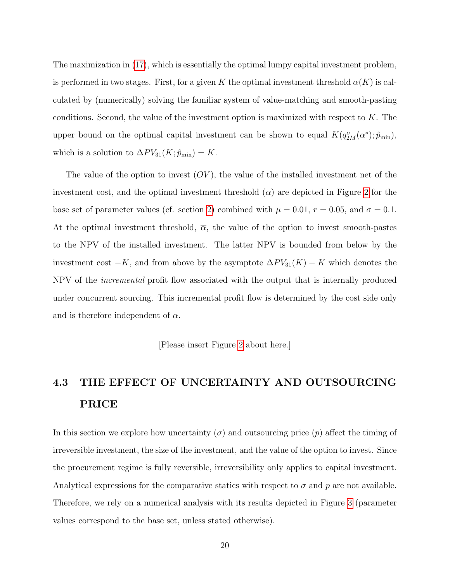The maximization in [\(17\)](#page-18-2), which is essentially the optimal lumpy capital investment problem, is performed in two stages. First, for a given K the optimal investment threshold  $\overline{\alpha}(K)$  is calculated by (numerically) solving the familiar system of value-matching and smooth-pasting conditions. Second, the value of the investment option is maximized with respect to  $K$ . The upper bound on the optimal capital investment can be shown to equal  $K(q_{2M}^o(\alpha^*); \hat{p}_{\text{min}})$ , which is a solution to  $\Delta PV_{31}(K; \hat{p}_{\min}) = K$ .

The value of the option to invest  $(OV)$ , the value of the installed investment net of the investment cost, and the optimal investment threshold  $(\overline{\alpha})$  are depicted in Figure [2](#page-46-0) for the base set of parameter values (cf. section [2\)](#page-7-0) combined with  $\mu = 0.01$ ,  $r = 0.05$ , and  $\sigma = 0.1$ . At the optimal investment threshold,  $\bar{\alpha}$ , the value of the option to invest smooth-pastes to the NPV of the installed investment. The latter NPV is bounded from below by the investment cost  $-K$ , and from above by the asymptote  $\Delta PV_{31}(K) - K$  which denotes the NPV of the incremental profit flow associated with the output that is internally produced under concurrent sourcing. This incremental profit flow is determined by the cost side only and is therefore independent of  $\alpha$ .

[Please insert Figure [2](#page-46-0) about here.]

## <span id="page-19-0"></span>4.3 THE EFFECT OF UNCERTAINTY AND OUTSOURCING PRICE

In this section we explore how uncertainty ( $\sigma$ ) and outsourcing price (p) affect the timing of irreversible investment, the size of the investment, and the value of the option to invest. Since the procurement regime is fully reversible, irreversibility only applies to capital investment. Analytical expressions for the comparative statics with respect to  $\sigma$  and p are not available. Therefore, we rely on a numerical analysis with its results depicted in Figure [3](#page-47-0) (parameter values correspond to the base set, unless stated otherwise).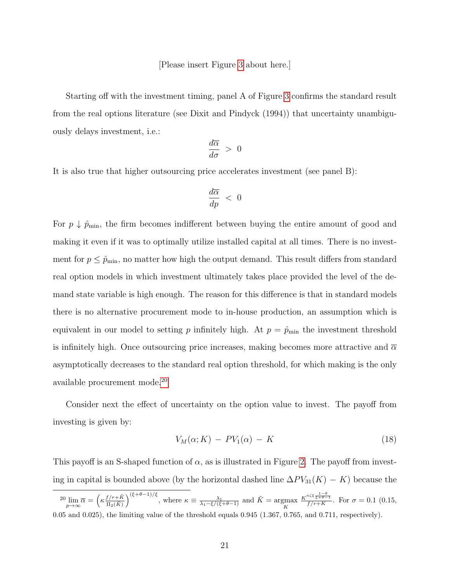[Please insert Figure [3](#page-47-0) about here.]

Starting off with the investment timing, panel A of Figure [3](#page-47-0) confirms the standard result from the real options literature (see Dixit and Pindyck (1994)) that uncertainty unambiguously delays investment, i.e.:

$$
\frac{d\overline{\alpha}}{d\sigma} > 0
$$

It is also true that higher outsourcing price accelerates investment (see panel B):

$$
\frac{d\overline{\alpha}}{dp} \ < \ 0
$$

For  $p \downarrow \hat{p}_{\text{min}}$ , the firm becomes indifferent between buying the entire amount of good and making it even if it was to optimally utilize installed capital at all times. There is no investment for  $p \leq \hat{p}_{\min}$ , no matter how high the output demand. This result differs from standard real option models in which investment ultimately takes place provided the level of the demand state variable is high enough. The reason for this difference is that in standard models there is no alternative procurement mode to in-house production, an assumption which is equivalent in our model to setting p infinitely high. At  $p = \hat{p}_{\text{min}}$  the investment threshold is infinitely high. Once outsourcing price increases, making becomes more attractive and  $\overline{\alpha}$ asymptotically decreases to the standard real option threshold, for which making is the only available procurement mode.[20](#page-20-0)

Consider next the effect of uncertainty on the option value to invest. The payoff from investing is given by:

$$
V_M(\alpha; K) - PV_1(\alpha) - K \tag{18}
$$

This payoff is an S-shaped function of  $\alpha$ , as is illustrated in Figure [2.](#page-46-0) The payoff from investing in capital is bounded above (by the horizontal dashed line  $\Delta PV_{31}(K) - K$ ) because the

<span id="page-20-0"></span> $^{20}\lim_{p\to\infty}\overline{\alpha}=\Big(\kappa\frac{f/r+\tilde{K}}{\Pi_2(\tilde{K})}$  $\Pi_2(\tilde{K})$  $\int^{(\xi+\theta-1)/\xi}$ , where  $\kappa \equiv \frac{\lambda_1}{\lambda_1-\xi/(\xi+\theta-1)}$  and  $\tilde{K} = \underset{K}{\text{argmax}}$  $\frac{K^{\kappa\zeta\xi}\frac{1-\theta}{\xi+\theta-1}}{f/r+K}$ . For  $\sigma=0.1$  (0.15, 0.05 and 0.025), the limiting value of the threshold equals 0.945 (1.367, 0.765, and 0.711, respectively).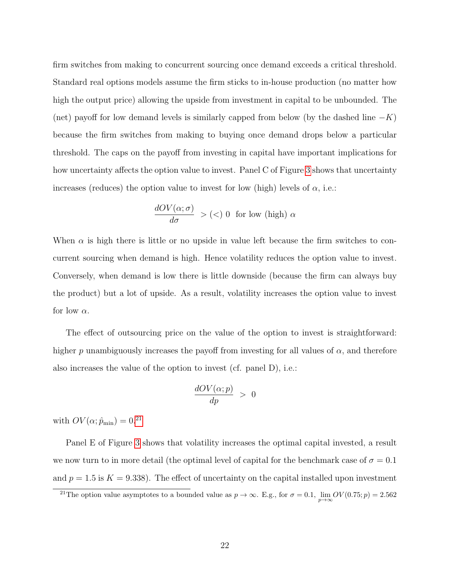firm switches from making to concurrent sourcing once demand exceeds a critical threshold. Standard real options models assume the firm sticks to in-house production (no matter how high the output price) allowing the upside from investment in capital to be unbounded. The (net) payoff for low demand levels is similarly capped from below (by the dashed line  $-K$ ) because the firm switches from making to buying once demand drops below a particular threshold. The caps on the payoff from investing in capital have important implications for how uncertainty affects the option value to invest. Panel C of Figure [3](#page-47-0) shows that uncertainty increases (reduces) the option value to invest for low (high) levels of  $\alpha$ , i.e.:

$$
\frac{dOV(\alpha; \sigma)}{d\sigma} > (<) 0 \text{ for low (high) } \alpha
$$

When  $\alpha$  is high there is little or no upside in value left because the firm switches to concurrent sourcing when demand is high. Hence volatility reduces the option value to invest. Conversely, when demand is low there is little downside (because the firm can always buy the product) but a lot of upside. As a result, volatility increases the option value to invest for low  $\alpha$ .

The effect of outsourcing price on the value of the option to invest is straightforward: higher p unambiguously increases the payoff from investing for all values of  $\alpha$ , and therefore also increases the value of the option to invest (cf. panel D), i.e.:

$$
\frac{dOV(\alpha;p)}{dp}~>~0
$$

with  $OV(\alpha; \hat{p}_{\min}) = 0.21$  $OV(\alpha; \hat{p}_{\min}) = 0.21$ 

Panel E of Figure [3](#page-47-0) shows that volatility increases the optimal capital invested, a result we now turn to in more detail (the optimal level of capital for the benchmark case of  $\sigma = 0.1$ and  $p = 1.5$  is  $K = 9.338$ . The effect of uncertainty on the capital installed upon investment

<span id="page-21-0"></span><sup>&</sup>lt;sup>21</sup>The option value asymptotes to a bounded value as  $p \to \infty$ . E.g., for  $\sigma = 0.1$ ,  $\lim_{p \to \infty} OV(0.75; p) = 2.562$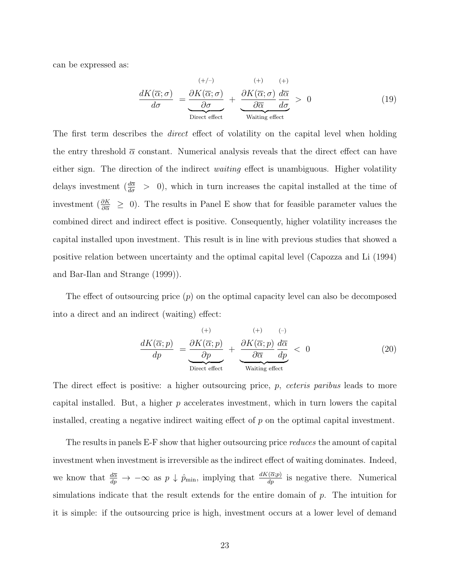can be expressed as:

$$
\frac{dK(\overline{\alpha};\sigma)}{d\sigma} = \frac{\partial K(\overline{\alpha};\sigma)}{\underbrace{\partial \sigma}_{\text{Direct effect}}} + \underbrace{\frac{\partial K(\overline{\alpha};\sigma)}{\partial \overline{\alpha}} \frac{d\overline{\alpha}}{d\sigma}}_{\text{Waiting effect}} > 0
$$
\n(19)

The first term describes the *direct* effect of volatility on the capital level when holding the entry threshold  $\bar{\alpha}$  constant. Numerical analysis reveals that the direct effect can have either sign. The direction of the indirect *waiting* effect is unambiguous. Higher volatility delays investment  $\left(\frac{d\overline{\alpha}}{d\sigma} > 0\right)$ , which in turn increases the capital installed at the time of investment  $(\frac{\partial K}{\partial \overline{\alpha}} \geq 0)$ . The results in Panel E show that for feasible parameter values the combined direct and indirect effect is positive. Consequently, higher volatility increases the capital installed upon investment. This result is in line with previous studies that showed a positive relation between uncertainty and the optimal capital level (Capozza and Li (1994) and Bar-Ilan and Strange (1999)).

The effect of outsourcing price  $(p)$  on the optimal capacity level can also be decomposed into a direct and an indirect (waiting) effect:

$$
\frac{dK(\overline{\alpha};p)}{dp} = \frac{\partial K(\overline{\alpha};p)}{\partial p} + \underbrace{\frac{\partial K(\overline{\alpha};p)}{\partial \overline{\alpha}} \frac{d\overline{\alpha}}{dp}}_{\text{Direct effect}} < 0 \tag{20}
$$

The direct effect is positive: a higher outsourcing price,  $p$ , *ceteris paribus* leads to more capital installed. But, a higher  $p$  accelerates investment, which in turn lowers the capital installed, creating a negative indirect waiting effect of  $p$  on the optimal capital investment.

The results in panels E-F show that higher outsourcing price *reduces* the amount of capital investment when investment is irreversible as the indirect effect of waiting dominates. Indeed, we know that  $\frac{d\overline{\alpha}}{dp} \to -\infty$  as  $p \downarrow \hat{p}_{\min}$ , implying that  $\frac{dK(\overline{\alpha};p)}{dp}$  is negative there. Numerical simulations indicate that the result extends for the entire domain of  $p$ . The intuition for it is simple: if the outsourcing price is high, investment occurs at a lower level of demand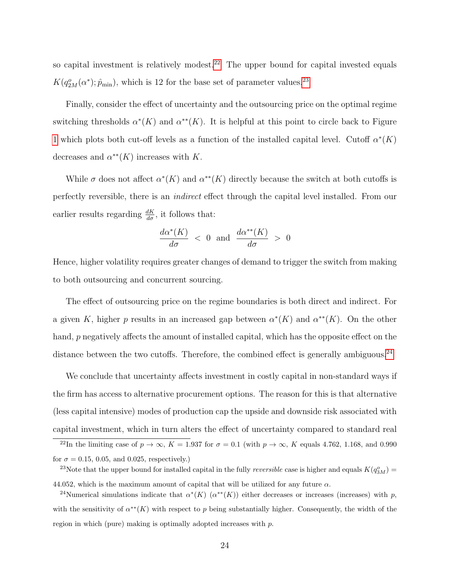so capital investment is relatively modest.<sup>[22](#page-23-0)</sup> The upper bound for capital invested equals  $K(q_{2M}^o(\alpha^*); \hat{p}_{\text{min}}),$  which is 12 for the base set of parameter values.<sup>[23](#page-23-1)</sup>

Finally, consider the effect of uncertainty and the outsourcing price on the optimal regime switching thresholds  $\alpha^*(K)$  and  $\alpha^{**}(K)$ . It is helpful at this point to circle back to Figure [1](#page-45-0) which plots both cut-off levels as a function of the installed capital level. Cutoff  $\alpha^*(K)$ decreases and  $\alpha^{**}(K)$  increases with K.

While  $\sigma$  does not affect  $\alpha^*(K)$  and  $\alpha^{**}(K)$  directly because the switch at both cutoffs is perfectly reversible, there is an indirect effect through the capital level installed. From our earlier results regarding  $\frac{dK}{d\sigma}$ , it follows that:

$$
\frac{d\alpha^*(K)}{d\sigma} < 0 \quad \text{and} \quad \frac{d\alpha^{**}(K)}{d\sigma} > 0
$$

Hence, higher volatility requires greater changes of demand to trigger the switch from making to both outsourcing and concurrent sourcing.

The effect of outsourcing price on the regime boundaries is both direct and indirect. For a given K, higher p results in an increased gap between  $\alpha^*(K)$  and  $\alpha^{**}(K)$ . On the other hand, p negatively affects the amount of installed capital, which has the opposite effect on the distance between the two cutoffs. Therefore, the combined effect is generally ambiguous.<sup>[24](#page-23-2)</sup>

We conclude that uncertainty affects investment in costly capital in non-standard ways if the firm has access to alternative procurement options. The reason for this is that alternative (less capital intensive) modes of production cap the upside and downside risk associated with capital investment, which in turn alters the effect of uncertainty compared to standard real

<span id="page-23-0"></span><sup>&</sup>lt;sup>22</sup>In the limiting case of  $p \to \infty$ ,  $K = 1.937$  for  $\sigma = 0.1$  (with  $p \to \infty$ , K equals 4.762, 1.168, and 0.990 for  $\sigma = 0.15, 0.05,$  and 0.025, respectively.)

<span id="page-23-1"></span><sup>&</sup>lt;sup>23</sup>Note that the upper bound for installed capital in the fully *reversible* case is higher and equals  $K(q_{3M}^o)$  = 44.052, which is the maximum amount of capital that will be utilized for any future  $\alpha$ .

<span id="page-23-2"></span><sup>&</sup>lt;sup>24</sup>Numerical simulations indicate that  $\alpha^*(K)$  ( $\alpha^{**}(K)$ ) either decreases or increases (increases) with p, with the sensitivity of  $\alpha^{**}(K)$  with respect to p being substantially higher. Consequently, the width of the region in which (pure) making is optimally adopted increases with p.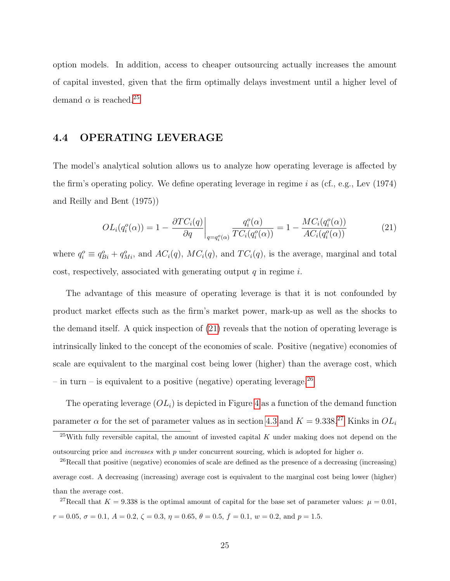option models. In addition, access to cheaper outsourcing actually increases the amount of capital invested, given that the firm optimally delays investment until a higher level of demand  $\alpha$  is reached.<sup>[25](#page-24-1)</sup>

#### <span id="page-24-0"></span>4.4 OPERATING LEVERAGE

The model's analytical solution allows us to analyze how operating leverage is affected by the firm's operating policy. We define operating leverage in regime i as (cf., e.g., Lev  $(1974)$ ) and Reilly and Bent (1975))

<span id="page-24-2"></span>
$$
OL_{i}(q_{i}^{o}(\alpha)) = 1 - \frac{\partial TC_{i}(q)}{\partial q} \bigg|_{q = q_{i}^{o}(\alpha)} \frac{q_{i}^{o}(\alpha)}{TC_{i}(q_{i}^{o}(\alpha))} = 1 - \frac{MC_{i}(q_{i}^{o}(\alpha))}{AC_{i}(q_{i}^{o}(\alpha))}
$$
(21)

where  $q_i^o \equiv q_{Bi}^o + q_{Mi}^o$ , and  $AC_i(q)$ ,  $MC_i(q)$ , and  $TC_i(q)$ , is the average, marginal and total cost, respectively, associated with generating output  $q$  in regime  $i$ .

The advantage of this measure of operating leverage is that it is not confounded by product market effects such as the firm's market power, mark-up as well as the shocks to the demand itself. A quick inspection of [\(21\)](#page-24-2) reveals that the notion of operating leverage is intrinsically linked to the concept of the economies of scale. Positive (negative) economies of scale are equivalent to the marginal cost being lower (higher) than the average cost, which – in turn – is equivalent to a positive (negative) operating leverage.<sup>[26](#page-24-3)</sup>

The operating leverage  $(OL_i)$  is depicted in Figure [4](#page-48-0) as a function of the demand function parameter  $\alpha$  for the set of parameter values as in section [4.3](#page-19-0) and  $K = 9.338$ .<sup>[27](#page-24-4)</sup> Kinks in  $OL_i$ 

<span id="page-24-4"></span><sup>27</sup>Recall that  $K = 9.338$  is the optimal amount of capital for the base set of parameter values:  $\mu = 0.01$ .  $r = 0.05, \sigma = 0.1, A = 0.2, \zeta = 0.3, \eta = 0.65, \theta = 0.5, f = 0.1, w = 0.2, \text{ and } p = 1.5.$ 

<span id="page-24-1"></span><sup>&</sup>lt;sup>25</sup>With fully reversible capital, the amount of invested capital K under making does not depend on the outsourcing price and *increases* with p under concurrent sourcing, which is adopted for higher  $\alpha$ .

<span id="page-24-3"></span> $^{26}$ Recall that positive (negative) economies of scale are defined as the presence of a decreasing (increasing) average cost. A decreasing (increasing) average cost is equivalent to the marginal cost being lower (higher) than the average cost.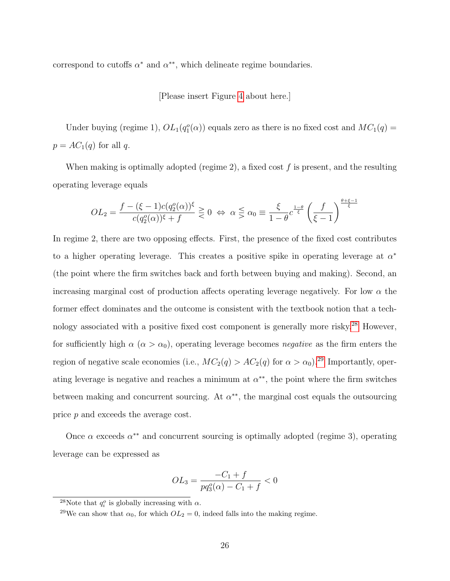correspond to cutoffs  $\alpha^*$  and  $\alpha^{**}$ , which delineate regime boundaries.

#### [Please insert Figure [4](#page-48-0) about here.]

Under buying (regime 1),  $OL_1(q_1^o(\alpha))$  equals zero as there is no fixed cost and  $MC_1(q)$  =  $p = AC_1(q)$  for all q.

When making is optimally adopted (regime 2), a fixed cost  $f$  is present, and the resulting operating leverage equals

$$
OL_2 = \frac{f - (\xi - 1)c(q_2^o(\alpha))^{\xi}}{c(q_2^o(\alpha))^{\xi} + f} \ge 0 \Leftrightarrow \alpha \le \alpha_0 \equiv \frac{\xi}{1 - \theta} c^{\frac{1 - \theta}{\xi}} \left(\frac{f}{\xi - 1}\right)^{\frac{\theta + \xi - 1}{\xi}}
$$

In regime 2, there are two opposing effects. First, the presence of the fixed cost contributes to a higher operating leverage. This creates a positive spike in operating leverage at  $\alpha^*$ (the point where the firm switches back and forth between buying and making). Second, an increasing marginal cost of production affects operating leverage negatively. For low  $\alpha$  the former effect dominates and the outcome is consistent with the textbook notion that a technology associated with a positive fixed cost component is generally more risky.[28](#page-25-0) However, for sufficiently high  $\alpha$  ( $\alpha > \alpha_0$ ), operating leverage becomes *negative* as the firm enters the region of negative scale economies (i.e.,  $MC_2(q) > AC_2(q)$  for  $\alpha > \alpha_0$ ).<sup>[29](#page-25-1)</sup> Importantly, operating leverage is negative and reaches a minimum at  $\alpha^{**}$ , the point where the firm switches between making and concurrent sourcing. At  $\alpha^{**}$ , the marginal cost equals the outsourcing price p and exceeds the average cost.

Once  $\alpha$  exceeds  $\alpha^{**}$  and concurrent sourcing is optimally adopted (regime 3), operating leverage can be expressed as

$$
OL_3 = \frac{-C_1 + f}{pq_3^o(\alpha) - C_1 + f} < 0
$$

<span id="page-25-1"></span><span id="page-25-0"></span><sup>&</sup>lt;sup>28</sup>Note that  $q_i^o$  is globally increasing with  $\alpha$ .

<sup>&</sup>lt;sup>29</sup>We can show that  $\alpha_0$ , for which  $OL_2 = 0$ , indeed falls into the making regime.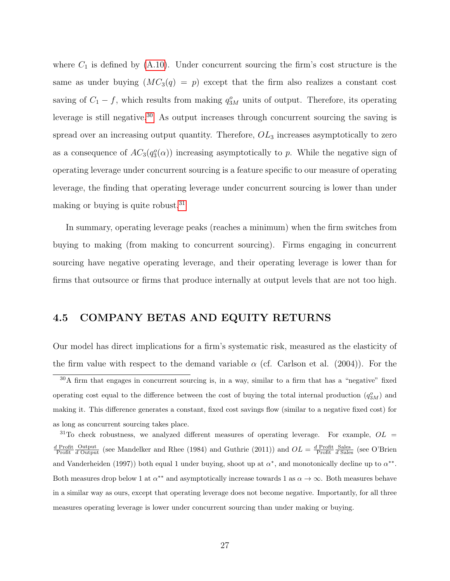where  $C_1$  is defined by  $(A.10)$ . Under concurrent sourcing the firm's cost structure is the same as under buying  $(MC_3(q) = p)$  except that the firm also realizes a constant cost saving of  $C_1 - f$ , which results from making  $q_{3M}^o$  units of output. Therefore, its operating leverage is still negative.[30](#page-26-0) As output increases through concurrent sourcing the saving is spread over an increasing output quantity. Therefore,  $OL_3$  increases asymptotically to zero as a consequence of  $AC_3(q_3^o(\alpha))$  increasing asymptotically to p. While the negative sign of operating leverage under concurrent sourcing is a feature specific to our measure of operating leverage, the finding that operating leverage under concurrent sourcing is lower than under making or buying is quite robust.<sup>[31](#page-26-1)</sup>

In summary, operating leverage peaks (reaches a minimum) when the firm switches from buying to making (from making to concurrent sourcing). Firms engaging in concurrent sourcing have negative operating leverage, and their operating leverage is lower than for firms that outsource or firms that produce internally at output levels that are not too high.

#### 4.5 COMPANY BETAS AND EQUITY RETURNS

Our model has direct implications for a firm's systematic risk, measured as the elasticity of the firm value with respect to the demand variable  $\alpha$  (cf. Carlson et al. (2004)). For the

<span id="page-26-0"></span> $30A$  firm that engages in concurrent sourcing is, in a way, similar to a firm that has a "negative" fixed operating cost equal to the difference between the cost of buying the total internal production  $(q_{3M}^o)$  and making it. This difference generates a constant, fixed cost savings flow (similar to a negative fixed cost) for as long as concurrent sourcing takes place.

<span id="page-26-1"></span> $31$ To check robustness, we analyzed different measures of operating leverage. For example,  $OL =$  $\frac{d \text{ Profit}}{Profit} \frac{\text{Output}}{d \text{ Output}}$  (see Mandelker and Rhee (1984) and Guthrie (2011)) and  $OL = \frac{d \text{ Profit}}{Profit} \frac{\text{Sales}}{d \text{ Sales}}$  (see O'Brien and Vanderheiden (1997)) both equal 1 under buying, shoot up at  $\alpha^*$ , and monotonically decline up to  $\alpha^{**}$ . Both measures drop below 1 at  $\alpha^{**}$  and asymptotically increase towards 1 as  $\alpha \to \infty$ . Both measures behave in a similar way as ours, except that operating leverage does not become negative. Importantly, for all three measures operating leverage is lower under concurrent sourcing than under making or buying.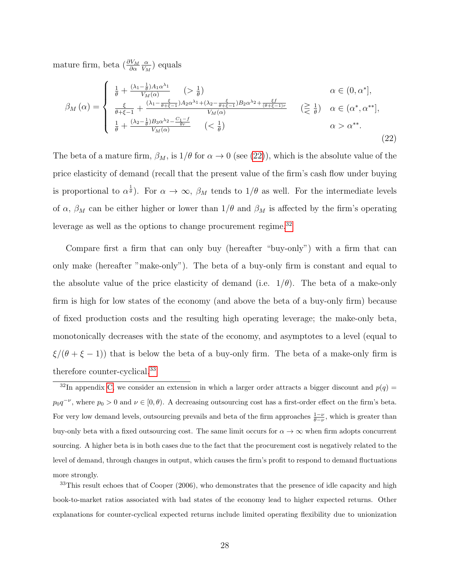mature firm, beta  $\left(\frac{\partial V_M}{\partial \alpha}\right)$ α  $\frac{\alpha}{V_M}$ ) equals

<span id="page-27-0"></span>
$$
\beta_{M}\left(\alpha\right) = \begin{cases}\n\frac{1}{\theta} + \frac{(\lambda_{1} - \frac{1}{\theta})A_{1}\alpha^{\lambda_{1}}}{V_{M}(\alpha)} & (\gt) \frac{1}{\theta}) & \alpha \in (0, \alpha^{*}], \\
\frac{\xi}{\theta + \xi - 1} + \frac{(\lambda_{1} - \frac{\xi}{\theta + \xi - 1})A_{2}\alpha^{\lambda_{1}} + (\lambda_{2} - \frac{\xi}{\theta + \xi - 1})B_{2}\alpha^{\lambda_{2}} + \frac{\xi f}{(\theta + \xi - 1)r}}}{V_{M}(\alpha)} & (\gt) \frac{1}{\theta}) & \alpha \in (\alpha^{*}, \alpha^{**}], \\
\frac{1}{\theta} + \frac{(\lambda_{2} - \frac{1}{\theta})B_{3}\alpha^{\lambda_{2}} - \frac{C_{1} - f}{\theta r}}{V_{M}(\alpha)} & (\lt) \frac{1}{\theta}) & \alpha > \alpha^{**}.\n\end{cases}
$$
\n
$$
(22)
$$

The beta of a mature firm,  $\beta_M$ , is  $1/\theta$  for  $\alpha \to 0$  (see [\(22\)](#page-27-0)), which is the absolute value of the price elasticity of demand (recall that the present value of the firm's cash flow under buying is proportional to  $\alpha^{\frac{1}{\theta}}$ . For  $\alpha \to \infty$ ,  $\beta_M$  tends to  $1/\theta$  as well. For the intermediate levels of  $\alpha$ ,  $\beta_M$  can be either higher or lower than  $1/\theta$  and  $\beta_M$  is affected by the firm's operating leverage as well as the options to change procurement regime.<sup>[32](#page-27-1)</sup>

Compare first a firm that can only buy (hereafter "buy-only") with a firm that can only make (hereafter "make-only"). The beta of a buy-only firm is constant and equal to the absolute value of the price elasticity of demand (i.e.  $1/\theta$ ). The beta of a make-only firm is high for low states of the economy (and above the beta of a buy-only firm) because of fixed production costs and the resulting high operating leverage; the make-only beta, monotonically decreases with the state of the economy, and asymptotes to a level (equal to  $\xi/(\theta + \xi - 1)$ ) that is below the beta of a buy-only firm. The beta of a make-only firm is therefore counter-cyclical.[33](#page-27-2)

<span id="page-27-2"></span><sup>33</sup>This result echoes that of Cooper (2006), who demonstrates that the presence of idle capacity and high book-to-market ratios associated with bad states of the economy lead to higher expected returns. Other explanations for counter-cyclical expected returns include limited operating flexibility due to unionization

<span id="page-27-1"></span> $32$ In appendix [C,](#page-38-0) we consider an extension in which a larger order attracts a bigger discount and  $p(q)$  =  $p_0q^{-\nu}$ , where  $p_0 > 0$  and  $\nu \in [0, \theta)$ . A decreasing outsourcing cost has a first-order effect on the firm's beta. For very low demand levels, outsourcing prevails and beta of the firm approaches  $\frac{1-\nu}{\theta-\nu}$ , which is greater than buy-only beta with a fixed outsourcing cost. The same limit occurs for  $\alpha \to \infty$  when firm adopts concurrent sourcing. A higher beta is in both cases due to the fact that the procurement cost is negatively related to the level of demand, through changes in output, which causes the firm's profit to respond to demand fluctuations more strongly.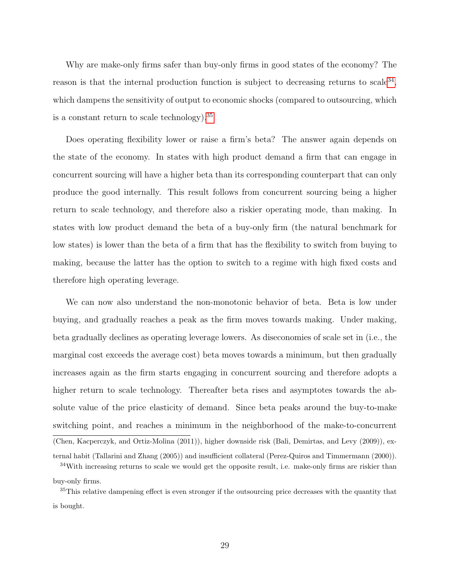Why are make-only firms safer than buy-only firms in good states of the economy? The reason is that the internal production function is subject to decreasing returns to scale<sup>[34](#page-28-0)</sup>, which dampens the sensitivity of output to economic shocks (compared to outsourcing, which is a constant return to scale technology).[35](#page-28-1)

Does operating flexibility lower or raise a firm's beta? The answer again depends on the state of the economy. In states with high product demand a firm that can engage in concurrent sourcing will have a higher beta than its corresponding counterpart that can only produce the good internally. This result follows from concurrent sourcing being a higher return to scale technology, and therefore also a riskier operating mode, than making. In states with low product demand the beta of a buy-only firm (the natural benchmark for low states) is lower than the beta of a firm that has the flexibility to switch from buying to making, because the latter has the option to switch to a regime with high fixed costs and therefore high operating leverage.

We can now also understand the non-monotonic behavior of beta. Beta is low under buying, and gradually reaches a peak as the firm moves towards making. Under making, beta gradually declines as operating leverage lowers. As diseconomies of scale set in (i.e., the marginal cost exceeds the average cost) beta moves towards a minimum, but then gradually increases again as the firm starts engaging in concurrent sourcing and therefore adopts a higher return to scale technology. Thereafter beta rises and asymptotes towards the absolute value of the price elasticity of demand. Since beta peaks around the buy-to-make switching point, and reaches a minimum in the neighborhood of the make-to-concurrent (Chen, Kacperczyk, and Ortiz-Molina (2011)), higher downside risk (Bali, Demirtas, and Levy (2009)), external habit (Tallarini and Zhang (2005)) and insufficient collateral (Perez-Quiros and Timmermann (2000)).  $34$ With increasing returns to scale we would get the opposite result, i.e. make-only firms are riskier than

<span id="page-28-1"></span><span id="page-28-0"></span>buy-only firms.

<sup>&</sup>lt;sup>35</sup>This relative dampening effect is even stronger if the outsourcing price decreases with the quantity that is bought.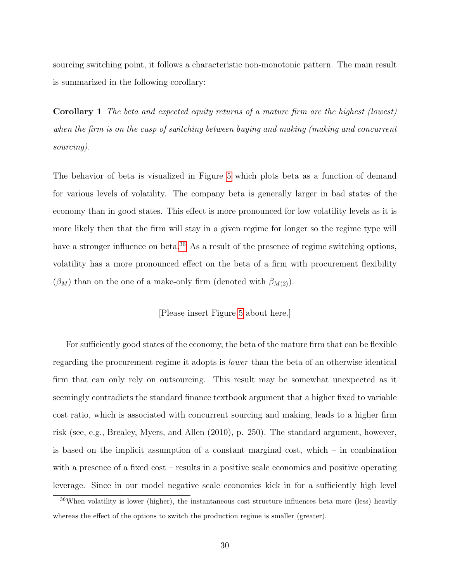sourcing switching point, it follows a characteristic non-monotonic pattern. The main result is summarized in the following corollary:

Corollary 1 The beta and expected equity returns of a mature firm are the highest (lowest) when the firm is on the cusp of switching between buying and making (making and concurrent sourcing).

The behavior of beta is visualized in Figure [5](#page-49-0) which plots beta as a function of demand for various levels of volatility. The company beta is generally larger in bad states of the economy than in good states. This effect is more pronounced for low volatility levels as it is more likely then that the firm will stay in a given regime for longer so the regime type will have a stronger influence on beta.<sup>[36](#page-29-0)</sup> As a result of the presence of regime switching options, volatility has a more pronounced effect on the beta of a firm with procurement flexibility  $(\beta_M)$  than on the one of a make-only firm (denoted with  $\beta_{M(2)}$ ).

[Please insert Figure [5](#page-49-0) about here.]

For sufficiently good states of the economy, the beta of the mature firm that can be flexible regarding the procurement regime it adopts is lower than the beta of an otherwise identical firm that can only rely on outsourcing. This result may be somewhat unexpected as it seemingly contradicts the standard finance textbook argument that a higher fixed to variable cost ratio, which is associated with concurrent sourcing and making, leads to a higher firm risk (see, e.g., Brealey, Myers, and Allen (2010), p. 250). The standard argument, however, is based on the implicit assumption of a constant marginal cost, which – in combination with a presence of a fixed cost – results in a positive scale economies and positive operating leverage. Since in our model negative scale economies kick in for a sufficiently high level

<span id="page-29-0"></span><sup>36</sup>When volatility is lower (higher), the instantaneous cost structure influences beta more (less) heavily whereas the effect of the options to switch the production regime is smaller (greater).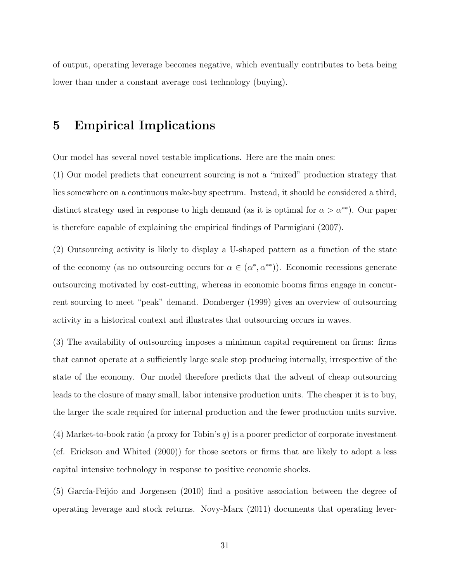of output, operating leverage becomes negative, which eventually contributes to beta being lower than under a constant average cost technology (buying).

## <span id="page-30-0"></span>5 Empirical Implications

Our model has several novel testable implications. Here are the main ones:

(1) Our model predicts that concurrent sourcing is not a "mixed" production strategy that lies somewhere on a continuous make-buy spectrum. Instead, it should be considered a third, distinct strategy used in response to high demand (as it is optimal for  $\alpha > \alpha^{**}$ ). Our paper is therefore capable of explaining the empirical findings of Parmigiani (2007).

(2) Outsourcing activity is likely to display a U-shaped pattern as a function of the state of the economy (as no outsourcing occurs for  $\alpha \in (\alpha^*, \alpha^{**})$ ). Economic recessions generate outsourcing motivated by cost-cutting, whereas in economic booms firms engage in concurrent sourcing to meet "peak" demand. Domberger (1999) gives an overview of outsourcing activity in a historical context and illustrates that outsourcing occurs in waves.

(3) The availability of outsourcing imposes a minimum capital requirement on firms: firms that cannot operate at a sufficiently large scale stop producing internally, irrespective of the state of the economy. Our model therefore predicts that the advent of cheap outsourcing leads to the closure of many small, labor intensive production units. The cheaper it is to buy, the larger the scale required for internal production and the fewer production units survive.

(4) Market-to-book ratio (a proxy for Tobin's  $q$ ) is a poorer predictor of corporate investment (cf. Erickson and Whited (2000)) for those sectors or firms that are likely to adopt a less capital intensive technology in response to positive economic shocks.

 $(5)$  García-Feijóo and Jorgensen  $(2010)$  find a positive association between the degree of operating leverage and stock returns. Novy-Marx (2011) documents that operating lever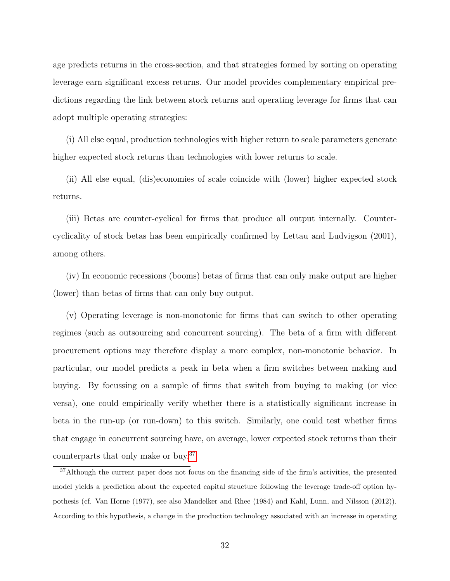age predicts returns in the cross-section, and that strategies formed by sorting on operating leverage earn significant excess returns. Our model provides complementary empirical predictions regarding the link between stock returns and operating leverage for firms that can adopt multiple operating strategies:

(i) All else equal, production technologies with higher return to scale parameters generate higher expected stock returns than technologies with lower returns to scale.

(ii) All else equal, (dis)economies of scale coincide with (lower) higher expected stock returns.

(iii) Betas are counter-cyclical for firms that produce all output internally. Countercyclicality of stock betas has been empirically confirmed by Lettau and Ludvigson (2001), among others.

(iv) In economic recessions (booms) betas of firms that can only make output are higher (lower) than betas of firms that can only buy output.

(v) Operating leverage is non-monotonic for firms that can switch to other operating regimes (such as outsourcing and concurrent sourcing). The beta of a firm with different procurement options may therefore display a more complex, non-monotonic behavior. In particular, our model predicts a peak in beta when a firm switches between making and buying. By focussing on a sample of firms that switch from buying to making (or vice versa), one could empirically verify whether there is a statistically significant increase in beta in the run-up (or run-down) to this switch. Similarly, one could test whether firms that engage in concurrent sourcing have, on average, lower expected stock returns than their counterparts that only make or buy.[37](#page-31-0)

<span id="page-31-0"></span><sup>&</sup>lt;sup>37</sup>Although the current paper does not focus on the financing side of the firm's activities, the presented model yields a prediction about the expected capital structure following the leverage trade-off option hypothesis (cf. Van Horne (1977), see also Mandelker and Rhee (1984) and Kahl, Lunn, and Nilsson (2012)). According to this hypothesis, a change in the production technology associated with an increase in operating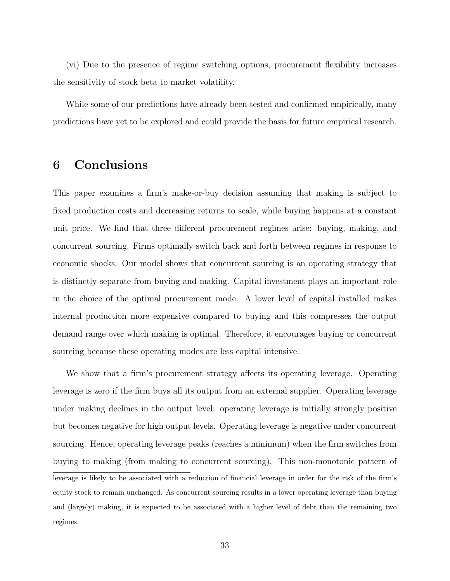(vi) Due to the presence of regime switching options, procurement flexibility increases the sensitivity of stock beta to market volatility.

While some of our predictions have already been tested and confirmed empirically, many predictions have yet to be explored and could provide the basis for future empirical research.

## <span id="page-32-0"></span>6 Conclusions

This paper examines a firm's make-or-buy decision assuming that making is subject to fixed production costs and decreasing returns to scale, while buying happens at a constant unit price. We find that three different procurement regimes arise: buying, making, and concurrent sourcing. Firms optimally switch back and forth between regimes in response to economic shocks. Our model shows that concurrent sourcing is an operating strategy that is distinctly separate from buying and making. Capital investment plays an important role in the choice of the optimal procurement mode. A lower level of capital installed makes internal production more expensive compared to buying and this compresses the output demand range over which making is optimal. Therefore, it encourages buying or concurrent sourcing because these operating modes are less capital intensive.

We show that a firm's procurement strategy affects its operating leverage. Operating leverage is zero if the firm buys all its output from an external supplier. Operating leverage under making declines in the output level: operating leverage is initially strongly positive but becomes negative for high output levels. Operating leverage is negative under concurrent sourcing. Hence, operating leverage peaks (reaches a minimum) when the firm switches from buying to making (from making to concurrent sourcing). This non-monotonic pattern of leverage is likely to be associated with a reduction of financial leverage in order for the risk of the firm's equity stock to remain unchanged. As concurrent sourcing results in a lower operating leverage than buying and (largely) making, it is expected to be associated with a higher level of debt than the remaining two regimes.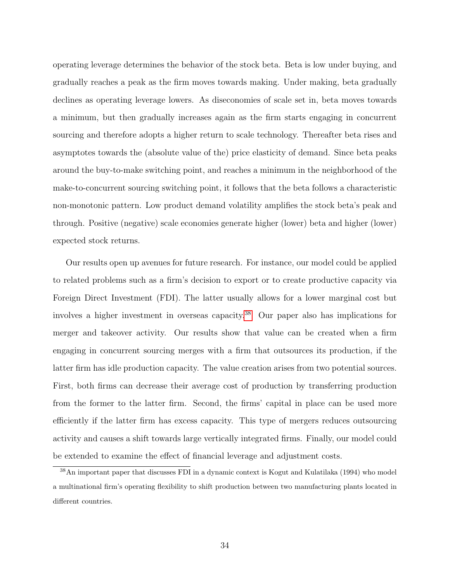operating leverage determines the behavior of the stock beta. Beta is low under buying, and gradually reaches a peak as the firm moves towards making. Under making, beta gradually declines as operating leverage lowers. As diseconomies of scale set in, beta moves towards a minimum, but then gradually increases again as the firm starts engaging in concurrent sourcing and therefore adopts a higher return to scale technology. Thereafter beta rises and asymptotes towards the (absolute value of the) price elasticity of demand. Since beta peaks around the buy-to-make switching point, and reaches a minimum in the neighborhood of the make-to-concurrent sourcing switching point, it follows that the beta follows a characteristic non-monotonic pattern. Low product demand volatility amplifies the stock beta's peak and through. Positive (negative) scale economies generate higher (lower) beta and higher (lower) expected stock returns.

Our results open up avenues for future research. For instance, our model could be applied to related problems such as a firm's decision to export or to create productive capacity via Foreign Direct Investment (FDI). The latter usually allows for a lower marginal cost but involves a higher investment in overseas capacity.<sup>[38](#page-33-0)</sup> Our paper also has implications for merger and takeover activity. Our results show that value can be created when a firm engaging in concurrent sourcing merges with a firm that outsources its production, if the latter firm has idle production capacity. The value creation arises from two potential sources. First, both firms can decrease their average cost of production by transferring production from the former to the latter firm. Second, the firms' capital in place can be used more efficiently if the latter firm has excess capacity. This type of mergers reduces outsourcing activity and causes a shift towards large vertically integrated firms. Finally, our model could be extended to examine the effect of financial leverage and adjustment costs.

<span id="page-33-0"></span><sup>38</sup>An important paper that discusses FDI in a dynamic context is Kogut and Kulatilaka (1994) who model a multinational firm's operating flexibility to shift production between two manufacturing plants located in different countries.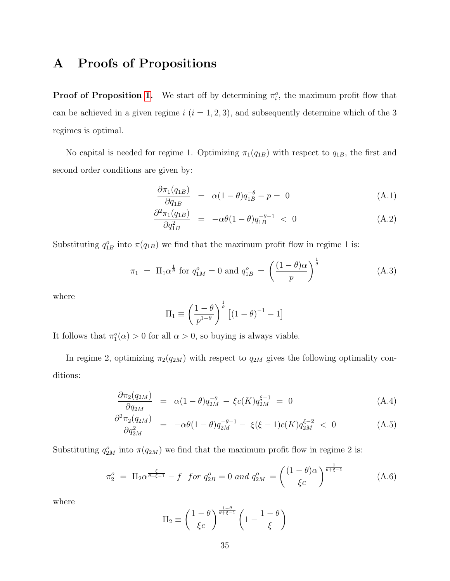## <span id="page-34-0"></span>A Proofs of Propositions

**Proof of Proposition [1.](#page-9-1)** We start off by determining  $\pi_i^o$ , the maximum profit flow that can be achieved in a given regime  $i$   $(i = 1, 2, 3)$ , and subsequently determine which of the 3 regimes is optimal.

No capital is needed for regime 1. Optimizing  $\pi_1(q_{1B})$  with respect to  $q_{1B}$ , the first and second order conditions are given by:

$$
\frac{\partial \pi_1(q_{1B})}{\partial q_{1B}} = \alpha (1 - \theta) q_{1B}^{-\theta} - p = 0 \tag{A.1}
$$

$$
\frac{\partial^2 \pi_1(q_{1B})}{\partial q_{1B}^2} = -\alpha \theta (1 - \theta) q_{1B}^{-\theta - 1} < 0 \tag{A.2}
$$

Substituting  $q_{1B}^o$  into  $\pi(q_{1B})$  we find that the maximum profit flow in regime 1 is:

$$
\pi_1 = \Pi_1 \alpha^{\frac{1}{\theta}} \text{ for } q_{1M}^o = 0 \text{ and } q_{1B}^o = \left(\frac{(1-\theta)\alpha}{p}\right)^{\frac{1}{\theta}}
$$
(A.3)

where

$$
\Pi_1 \equiv \left(\frac{1-\theta}{p^{1-\theta}}\right)^{\frac{1}{\theta}} \left[ (1-\theta)^{-1} - 1 \right]
$$

It follows that  $\pi_1^o(\alpha) > 0$  for all  $\alpha > 0$ , so buying is always viable.

In regime 2, optimizing  $\pi_2(q_{2M})$  with respect to  $q_{2M}$  gives the following optimality conditions:

$$
\frac{\partial \pi_2(q_{2M})}{\partial q_{2M}} = \alpha (1 - \theta) q_{2M}^{-\theta} - \xi c(K) q_{2M}^{\xi - 1} = 0
$$
\n(A.4)

$$
\frac{\partial^2 \pi_2(q_{2M})}{\partial q_{2M}^2} = -\alpha \theta (1-\theta) q_{2M}^{-\theta-1} - \xi (\xi - 1) c(K) q_{2M}^{\xi-2} < 0 \tag{A.5}
$$

Substituting  $q_{2M}^o$  into  $\pi(q_{2M})$  we find that the maximum profit flow in regime 2 is:

$$
\pi_2^o = \Pi_2 \alpha^{\frac{\xi}{\theta + \xi - 1}} - f \quad \text{for } q_{2B}^o = 0 \text{ and } q_{2M}^o = \left(\frac{(1 - \theta)\alpha}{\xi c}\right)^{\frac{1}{\theta + \xi - 1}} \tag{A.6}
$$

where

$$
\Pi_2 \equiv \left(\frac{1-\theta}{\xi c}\right)^{\frac{1-\theta}{\theta+\xi-1}} \left(1 - \frac{1-\theta}{\xi}\right)
$$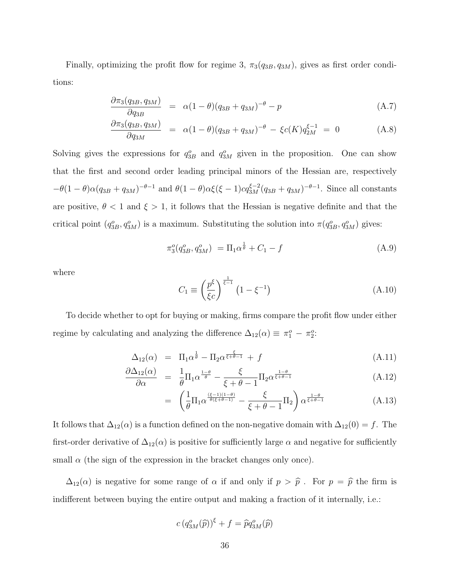Finally, optimizing the profit flow for regime 3,  $\pi_3(q_{3B}, q_{3M})$ , gives as first order conditions:

$$
\frac{\partial \pi_3(q_{3B}, q_{3M})}{\partial q_{3B}} = \alpha (1 - \theta)(q_{3B} + q_{3M})^{-\theta} - p \tag{A.7}
$$

$$
\frac{\partial \pi_3(q_{3B}, q_{3M})}{\partial q_{3M}} = \alpha (1 - \theta)(q_{3B} + q_{3M})^{-\theta} - \xi c(K) q_{2M}^{\xi - 1} = 0 \tag{A.8}
$$

Solving gives the expressions for  $q_{3B}^o$  and  $q_{3M}^o$  given in the proposition. One can show that the first and second order leading principal minors of the Hessian are, respectively  $-\theta(1-\theta)\alpha(q_{3B}+q_{3M})^{-\theta-1}$  and  $\theta(1-\theta)\alpha\xi(\xi-1)cq_{3M}^{\xi-2}(q_{3B}+q_{3M})^{-\theta-1}$ . Since all constants are positive,  $\theta$  < 1 and  $\xi$  > 1, it follows that the Hessian is negative definite and that the critical point  $(q_{3B}^o, q_{3M}^o)$  is a maximum. Substituting the solution into  $\pi(q_{3B}^o, q_{3M}^o)$  gives:

$$
\pi_3^o(q_{3B}^o, q_{3M}^o) = \Pi_1 \alpha^{\frac{1}{\theta}} + C_1 - f \tag{A.9}
$$

where

<span id="page-35-0"></span>
$$
C_1 \equiv \left(\frac{p^{\xi}}{\xi c}\right)^{\frac{1}{\xi - 1}} \left(1 - \xi^{-1}\right) \tag{A.10}
$$

To decide whether to opt for buying or making, firms compare the profit flow under either regime by calculating and analyzing the difference  $\Delta_{12}(\alpha) \equiv \pi_1^o - \pi_2^o$ :

$$
\Delta_{12}(\alpha) = \Pi_1 \alpha^{\frac{1}{\theta}} - \Pi_2 \alpha^{\frac{\xi}{\xi + \theta - 1}} + f \tag{A.11}
$$

$$
\frac{\partial \Delta_{12}(\alpha)}{\partial \alpha} = \frac{1}{\theta} \Pi_1 \alpha^{\frac{1-\theta}{\theta}} - \frac{\xi}{\xi + \theta - 1} \Pi_2 \alpha^{\frac{1-\theta}{\xi + \theta - 1}} \tag{A.12}
$$

$$
= \left(\frac{1}{\theta} \Pi_1 \alpha^{\frac{(\xi-1)(1-\theta)}{\theta(\xi+\theta-1)}} - \frac{\xi}{\xi+\theta-1} \Pi_2\right) \alpha^{\frac{1-\theta}{\xi+\theta-1}} \tag{A.13}
$$

It follows that  $\Delta_{12}(\alpha)$  is a function defined on the non-negative domain with  $\Delta_{12}(0) = f$ . The first-order derivative of  $\Delta_{12}(\alpha)$  is positive for sufficiently large  $\alpha$  and negative for sufficiently small  $\alpha$  (the sign of the expression in the bracket changes only once).

 $\Delta_{12}(\alpha)$  is negative for some range of  $\alpha$  if and only if  $p > \hat{p}$ . For  $p = \hat{p}$  the firm is indifferent between buying the entire output and making a fraction of it internally, i.e.:

$$
c (q_{3M}^o(\widehat{p}))^{\xi} + f = \widehat{p}q_{3M}^o(\widehat{p})
$$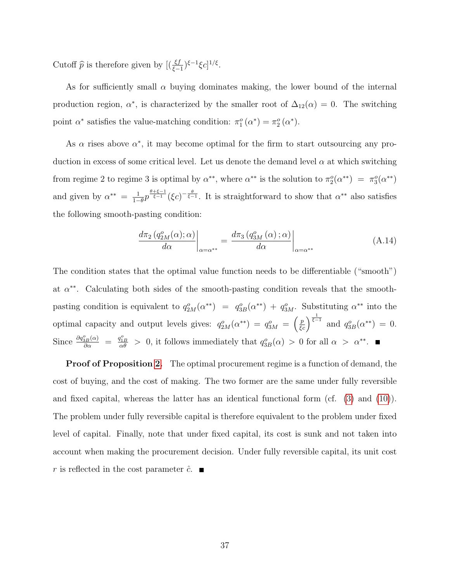Cutoff  $\hat{p}$  is therefore given by  $[(\frac{\xi f}{\xi-1})^{\xi-1}\xi c]^{1/\xi}$ .

As for sufficiently small  $\alpha$  buying dominates making, the lower bound of the internal production region,  $\alpha^*$ , is characterized by the smaller root of  $\Delta_{12}(\alpha) = 0$ . The switching point  $\alpha^*$  satisfies the value-matching condition:  $\pi_1^o(\alpha^*) = \pi_2^o(\alpha^*).$ 

As  $\alpha$  rises above  $\alpha^*$ , it may become optimal for the firm to start outsourcing any production in excess of some critical level. Let us denote the demand level  $\alpha$  at which switching from regime 2 to regime 3 is optimal by  $\alpha^{**}$ , where  $\alpha^{**}$  is the solution to  $\pi_2^o(\alpha^{**}) = \pi_3^o(\alpha^{**})$ and given by  $\alpha^{**} = \frac{1}{1}$  $\frac{1}{1-\theta}p^{\frac{\theta+\xi-1}{\xi-1}}(\xi c)^{-\frac{\theta}{\xi-1}}$ . It is straightforward to show that  $\alpha^{**}$  also satisfies the following smooth-pasting condition:

$$
\left. \frac{d\pi_2 \left( q_{2M}^o(\alpha) ; \alpha \right)}{d\alpha} \right|_{\alpha = \alpha^{**}} = \left. \frac{d\pi_3 \left( q_{3M}^o(\alpha) ; \alpha \right)}{d\alpha} \right|_{\alpha = \alpha^{**}} \tag{A.14}
$$

The condition states that the optimal value function needs to be differentiable ("smooth") at  $\alpha^{**}$ . Calculating both sides of the smooth-pasting condition reveals that the smoothpasting condition is equivalent to  $q_{2M}^o(\alpha^{**}) = q_{3B}^o(\alpha^{**}) + q_{3M}^o$ . Substituting  $\alpha^{**}$  into the optimal capacity and output levels gives:  $q_{2M}^o(\alpha^{**}) = q_{3M}^o = \left(\frac{p}{\xi_c}\right)^{\frac{1}{\xi-1}}$  and  $q_{3B}^o(\alpha^{**}) = 0$ . Since  $\frac{\partial q_{3B}^o(\alpha)}{\partial \alpha} = \frac{q_{1B}^o}{\alpha \theta} > 0$ , it follows immediately that  $q_{3B}^o(\alpha) > 0$  for all  $\alpha > \alpha^{**}$ . o

**Proof of Proposition [2.](#page-13-1)** The optimal procurement regime is a function of demand, the cost of buying, and the cost of making. The two former are the same under fully reversible and fixed capital, whereas the latter has an identical functional form  $(cf. (3)$  $(cf. (3)$  and  $(10)$ ). The problem under fully reversible capital is therefore equivalent to the problem under fixed level of capital. Finally, note that under fixed capital, its cost is sunk and not taken into account when making the procurement decision. Under fully reversible capital, its unit cost r is reflected in the cost parameter  $\hat{c}$ .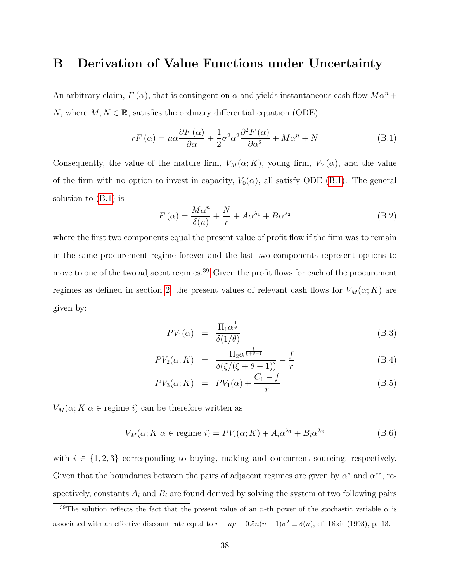## <span id="page-37-0"></span>B Derivation of Value Functions under Uncertainty

An arbitrary claim,  $F(\alpha)$ , that is contingent on  $\alpha$  and yields instantaneous cash flow  $M\alpha^{n}$  + N, where  $M, N \in \mathbb{R}$ , satisfies the ordinary differential equation (ODE)

<span id="page-37-1"></span>
$$
rF\left(\alpha\right) = \mu\alpha \frac{\partial F\left(\alpha\right)}{\partial \alpha} + \frac{1}{2}\sigma^2 \alpha^2 \frac{\partial^2 F\left(\alpha\right)}{\partial \alpha^2} + M\alpha^n + N \tag{B.1}
$$

Consequently, the value of the mature firm,  $V_M(\alpha; K)$ , young firm,  $V_Y(\alpha)$ , and the value of the firm with no option to invest in capacity,  $V_0(\alpha)$ , all satisfy ODE [\(B.1\)](#page-37-1). The general solution to [\(B.1\)](#page-37-1) is

$$
F(\alpha) = \frac{M\alpha^n}{\delta(n)} + \frac{N}{r} + A\alpha^{\lambda_1} + B\alpha^{\lambda_2}
$$
 (B.2)

where the first two components equal the present value of profit flow if the firm was to remain in the same procurement regime forever and the last two components represent options to move to one of the two adjacent regimes.<sup>[39](#page-37-2)</sup> Given the profit flows for each of the procurement regimes as defined in section [2,](#page-7-0) the present values of relevant cash flows for  $V_M(\alpha; K)$  are given by:

<span id="page-37-3"></span>
$$
PV_1(\alpha) = \frac{\Pi_1 \alpha^{\frac{1}{\theta}}}{\delta(1/\theta)}
$$
(B.3)

$$
PV_2(\alpha; K) = \frac{\Pi_2 \alpha^{\frac{\xi}{\xi + \theta - 1}}}{\delta(\xi/(\xi + \theta - 1))} - \frac{f}{r}
$$
(B.4)

$$
PV_3(\alpha; K) = PV_1(\alpha) + \frac{C_1 - f}{r}
$$
 (B.5)

 $V_M(\alpha; K | \alpha \in \text{regime } i)$  can be therefore written as

$$
V_M(\alpha; K | \alpha \in \text{regime } i) = PV_i(\alpha; K) + A_i \alpha^{\lambda_1} + B_i \alpha^{\lambda_2}
$$
 (B.6)

with  $i \in \{1, 2, 3\}$  corresponding to buying, making and concurrent sourcing, respectively. Given that the boundaries between the pairs of adjacent regimes are given by  $\alpha^*$  and  $\alpha^{**}$ , respectively, constants  $A_i$  and  $B_i$  are found derived by solving the system of two following pairs

<span id="page-37-2"></span><sup>&</sup>lt;sup>39</sup>The solution reflects the fact that the present value of an n-th power of the stochastic variable  $\alpha$  is associated with an effective discount rate equal to  $r - n\mu - 0.5n(n-1)\sigma^2 \equiv \delta(n)$ , cf. Dixit (1993), p. 13.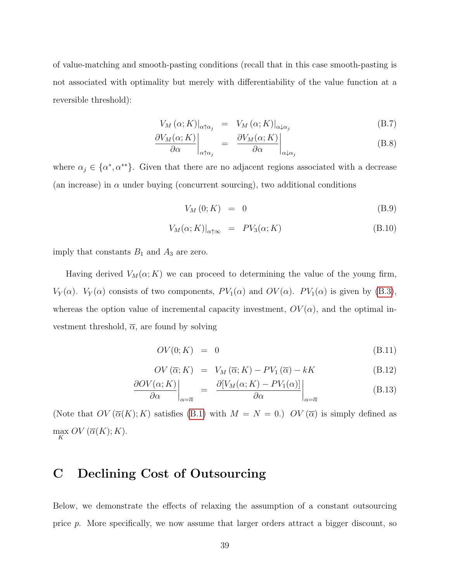of value-matching and smooth-pasting conditions (recall that in this case smooth-pasting is not associated with optimality but merely with differentiability of the value function at a reversible threshold):

$$
V_M(\alpha; K)|_{\alpha \uparrow \alpha_j} = V_M(\alpha; K)|_{\alpha \downarrow \alpha_j} \tag{B.7}
$$

$$
\left. \frac{\partial V_M(\alpha; K)}{\partial \alpha} \right|_{\alpha \uparrow \alpha_j} = \left. \frac{\partial V_M(\alpha; K)}{\partial \alpha} \right|_{\alpha \downarrow \alpha_j} \tag{B.8}
$$

where  $\alpha_j \in {\{\alpha^*,\alpha^{**}\}}$ . Given that there are no adjacent regions associated with a decrease (an increase) in  $\alpha$  under buying (concurrent sourcing), two additional conditions

$$
V_M(0;K) = 0 \tag{B.9}
$$

$$
V_M(\alpha; K)|_{\alpha \uparrow \infty} = PV_3(\alpha; K) \tag{B.10}
$$

imply that constants  $B_1$  and  $A_3$  are zero.

Having derived  $V_M(\alpha; K)$  we can proceed to determining the value of the young firm,  $V_Y(\alpha)$ .  $V_Y(\alpha)$  consists of two components,  $PV_1(\alpha)$  and  $OV(\alpha)$ .  $PV_1(\alpha)$  is given by [\(B.3\)](#page-37-3), whereas the option value of incremental capacity investment,  $OV(\alpha)$ , and the optimal investment threshold,  $\overline{\alpha}$ , are found by solving

$$
OV(0; K) = 0 \tag{B.11}
$$

$$
OV(\overline{\alpha}; K) = V_M(\overline{\alpha}; K) - PV_1(\overline{\alpha}) - kK
$$
\n(B.12)

$$
\left. \frac{\partial OV(\alpha; K)}{\partial \alpha} \right|_{\alpha = \overline{\alpha}} = \left. \frac{\partial [V_M(\alpha; K) - PV_1(\alpha)]}{\partial \alpha} \right|_{\alpha = \overline{\alpha}} \tag{B.13}
$$

(Note that  $OV(\overline{\alpha}(K); K)$  satisfies [\(B.1\)](#page-37-1) with  $M = N = 0$ .)  $OV(\overline{\alpha})$  is simply defined as  $\max_{K} OV(\overline{\alpha}(K);K).$ 

## <span id="page-38-0"></span>C Declining Cost of Outsourcing

Below, we demonstrate the effects of relaxing the assumption of a constant outsourcing price p. More specifically, we now assume that larger orders attract a bigger discount, so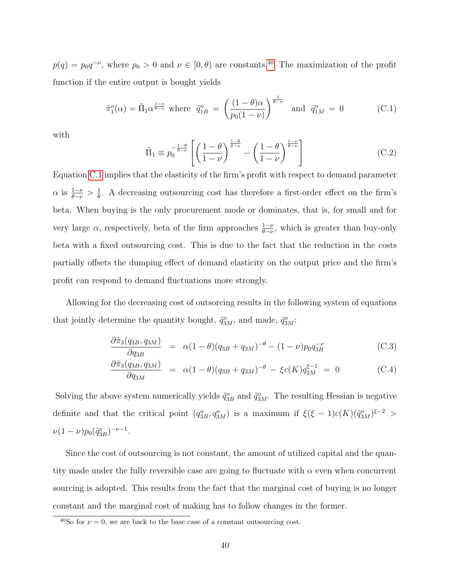$p(q) = p_0 q^{-\nu}$ , where  $p_0 > 0$  and  $\nu \in [0, \theta)$  are constants.<sup>[40](#page-39-0)</sup> The maximization of the profit function if the entire output is bought yields

<span id="page-39-1"></span>
$$
\tilde{\pi}_1^o(\alpha) = \tilde{\Pi}_1 \alpha^{\frac{1-\nu}{\theta-\nu}} \text{ where } \tilde{q}_{1B}^o = \left(\frac{(1-\theta)\alpha}{p_0(1-\nu)}\right)^{\frac{1}{\theta-\nu}} \text{ and } \tilde{q}_{1M}^o = 0 \tag{C.1}
$$

with

$$
\tilde{\Pi}_1 \equiv p_0^{-\frac{1-\theta}{\theta-\nu}} \left[ \left( \frac{1-\theta}{1-\nu} \right)^{\frac{1-\theta}{\theta-\nu}} - \left( \frac{1-\theta}{1-\nu} \right)^{\frac{1-\nu}{\theta-\nu}} \right] \tag{C.2}
$$

Equation [C.1](#page-39-1) implies that the elasticity of the firm's profit with respect to demand parameter  $\alpha$  is  $\frac{1-\nu}{\theta-\nu} > \frac{1}{\theta}$  $\frac{1}{\theta}$ . A decreasing outsourcing cost has therefore a first-order effect on the firm's beta. When buying is the only procurement mode or dominates, that is, for small and for very large  $\alpha$ , respectively, beta of the firm approaches  $\frac{1-\nu}{\theta-\nu}$ , which is greater than buy-only beta with a fixed outsourcing cost. This is due to the fact that the reduction in the costs partially offsets the dumping effect of demand elasticity on the output price and the firm's profit can respond to demand fluctuations more strongly.

Allowing for the decreasing cost of outsorcing results in the following system of equations that jointly determine the quantity bought,  $\tilde{q}_{3M}^o$ , and made,  $\tilde{q}_{3M}^o$ :

$$
\frac{\partial \tilde{\pi}_3(q_{3B}, q_{3M})}{\partial q_{3B}} = \alpha (1 - \theta)(q_{3B} + q_{3M})^{-\theta} - (1 - \nu)p_0 q_{3B}^{-\nu}
$$
(C.3)

$$
\frac{\partial \tilde{\pi}_3(q_{3B}, q_{3M})}{\partial q_{3M}} = \alpha (1 - \theta)(q_{3B} + q_{3M})^{-\theta} - \xi c(K) q_{2M}^{\xi - 1} = 0 \tag{C.4}
$$

Solving the above system numerically yields  $\tilde{q}_{3B}^o$  and  $\tilde{q}_{3M}^o$ . The resulting Hessian is negative definite and that the critical point  $(q_{3B}^o, q_{3M}^o)$  is a maximum if  $\xi(\xi-1)c(K)(\tilde{q}_{3M}^o)^{\xi-2}$  >  $\nu(1-\nu)p_0(\tilde{q}_{3B}^o)^{-\nu-1}.$ 

Since the cost of outsourcing is not constant, the amount of utilized capital and the quantity made under the fully reversible case are going to fluctuate with  $\alpha$  even when concurrent sourcing is adopted. This results from the fact that the marginal cost of buying is no longer constant and the marginal cost of making has to follow changes in the former.

<span id="page-39-0"></span><sup>&</sup>lt;sup>40</sup>So for  $\nu = 0$ , we are back to the base case of a constant outsourcing cost.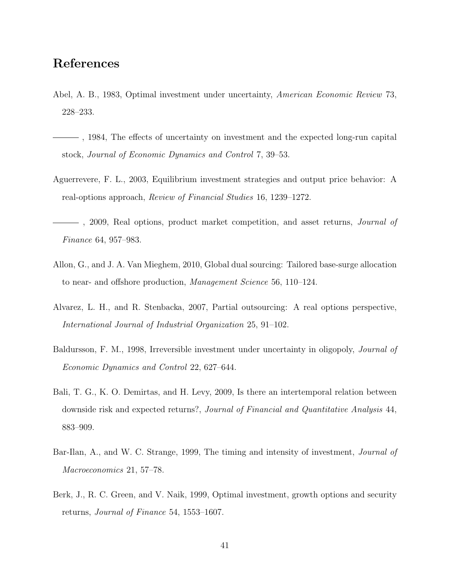## References

- Abel, A. B., 1983, Optimal investment under uncertainty, American Economic Review 73, 228–233.
- , 1984, The effects of uncertainty on investment and the expected long-run capital stock, Journal of Economic Dynamics and Control 7, 39–53.
- Aguerrevere, F. L., 2003, Equilibrium investment strategies and output price behavior: A real-options approach, Review of Financial Studies 16, 1239–1272.
- $-$ , 2009, Real options, product market competition, and asset returns, *Journal of* Finance 64, 957–983.
- Allon, G., and J. A. Van Mieghem, 2010, Global dual sourcing: Tailored base-surge allocation to near- and offshore production, Management Science 56, 110–124.
- Alvarez, L. H., and R. Stenbacka, 2007, Partial outsourcing: A real options perspective, International Journal of Industrial Organization 25, 91–102.
- Baldursson, F. M., 1998, Irreversible investment under uncertainty in oligopoly, Journal of Economic Dynamics and Control 22, 627–644.
- Bali, T. G., K. O. Demirtas, and H. Levy, 2009, Is there an intertemporal relation between downside risk and expected returns?, Journal of Financial and Quantitative Analysis 44, 883–909.
- Bar-Ilan, A., and W. C. Strange, 1999, The timing and intensity of investment, *Journal of* Macroeconomics 21, 57–78.
- Berk, J., R. C. Green, and V. Naik, 1999, Optimal investment, growth options and security returns, Journal of Finance 54, 1553–1607.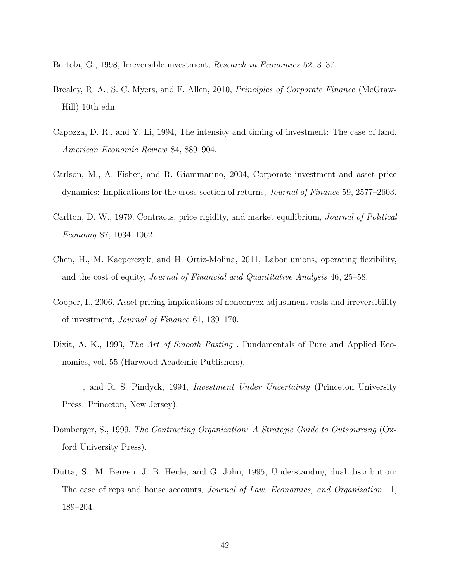Bertola, G., 1998, Irreversible investment, Research in Economics 52, 3–37.

- Brealey, R. A., S. C. Myers, and F. Allen, 2010, Principles of Corporate Finance (McGraw-Hill) 10th edn.
- Capozza, D. R., and Y. Li, 1994, The intensity and timing of investment: The case of land, American Economic Review 84, 889–904.
- Carlson, M., A. Fisher, and R. Giammarino, 2004, Corporate investment and asset price dynamics: Implications for the cross-section of returns, Journal of Finance 59, 2577–2603.
- Carlton, D. W., 1979, Contracts, price rigidity, and market equilibrium, Journal of Political Economy 87, 1034–1062.
- Chen, H., M. Kacperczyk, and H. Ortiz-Molina, 2011, Labor unions, operating flexibility, and the cost of equity, Journal of Financial and Quantitative Analysis 46, 25–58.
- Cooper, I., 2006, Asset pricing implications of nonconvex adjustment costs and irreversibility of investment, Journal of Finance 61, 139–170.
- Dixit, A. K., 1993, The Art of Smooth Pasting. Fundamentals of Pure and Applied Economics, vol. 55 (Harwood Academic Publishers).
- $-$ , and R. S. Pindyck, 1994, *Investment Under Uncertainty* (Princeton University Press: Princeton, New Jersey).
- Domberger, S., 1999, The Contracting Organization: A Strategic Guide to Outsourcing (Oxford University Press).
- Dutta, S., M. Bergen, J. B. Heide, and G. John, 1995, Understanding dual distribution: The case of reps and house accounts, Journal of Law, Economics, and Organization 11, 189–204.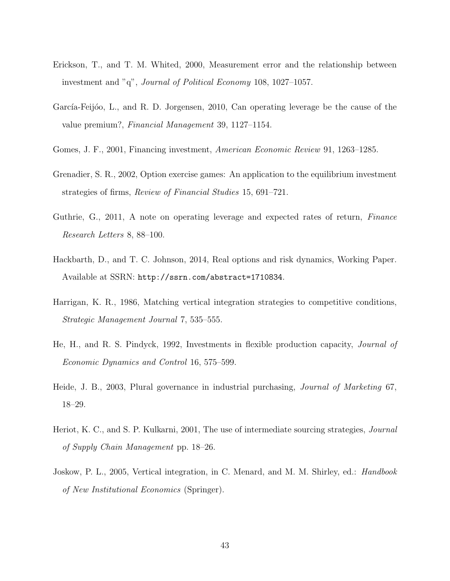- Erickson, T., and T. M. Whited, 2000, Measurement error and the relationship between investment and "q", Journal of Political Economy 108, 1027–1057.
- García-Feijóo, L., and R. D. Jorgensen, 2010, Can operating leverage be the cause of the value premium?, Financial Management 39, 1127–1154.
- Gomes, J. F., 2001, Financing investment, American Economic Review 91, 1263–1285.
- Grenadier, S. R., 2002, Option exercise games: An application to the equilibrium investment strategies of firms, Review of Financial Studies 15, 691–721.
- Guthrie, G., 2011, A note on operating leverage and expected rates of return, *Finance* Research Letters 8, 88–100.
- Hackbarth, D., and T. C. Johnson, 2014, Real options and risk dynamics, Working Paper. Available at SSRN: http://ssrn.com/abstract=1710834.
- Harrigan, K. R., 1986, Matching vertical integration strategies to competitive conditions, Strategic Management Journal 7, 535–555.
- He, H., and R. S. Pindyck, 1992, Investments in flexible production capacity, Journal of Economic Dynamics and Control 16, 575–599.
- Heide, J. B., 2003, Plural governance in industrial purchasing, Journal of Marketing 67, 18–29.
- Heriot, K. C., and S. P. Kulkarni, 2001, The use of intermediate sourcing strategies, *Journal* of Supply Chain Management pp. 18–26.
- Joskow, P. L., 2005, Vertical integration, in C. Menard, and M. M. Shirley, ed.: *Handbook* of New Institutional Economics (Springer).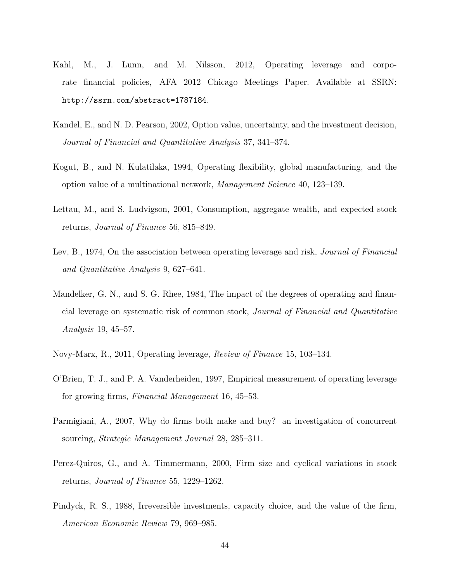- Kahl, M., J. Lunn, and M. Nilsson, 2012, Operating leverage and corporate financial policies, AFA 2012 Chicago Meetings Paper. Available at SSRN: http://ssrn.com/abstract=1787184.
- Kandel, E., and N. D. Pearson, 2002, Option value, uncertainty, and the investment decision, Journal of Financial and Quantitative Analysis 37, 341–374.
- Kogut, B., and N. Kulatilaka, 1994, Operating flexibility, global manufacturing, and the option value of a multinational network, Management Science 40, 123–139.
- Lettau, M., and S. Ludvigson, 2001, Consumption, aggregate wealth, and expected stock returns, Journal of Finance 56, 815–849.
- Lev, B., 1974, On the association between operating leverage and risk, *Journal of Financial* and Quantitative Analysis 9, 627–641.
- Mandelker, G. N., and S. G. Rhee, 1984, The impact of the degrees of operating and financial leverage on systematic risk of common stock, Journal of Financial and Quantitative Analysis 19, 45–57.
- Novy-Marx, R., 2011, Operating leverage, Review of Finance 15, 103–134.
- O'Brien, T. J., and P. A. Vanderheiden, 1997, Empirical measurement of operating leverage for growing firms, Financial Management 16, 45–53.
- Parmigiani, A., 2007, Why do firms both make and buy? an investigation of concurrent sourcing, Strategic Management Journal 28, 285–311.
- Perez-Quiros, G., and A. Timmermann, 2000, Firm size and cyclical variations in stock returns, Journal of Finance 55, 1229–1262.
- Pindyck, R. S., 1988, Irreversible investments, capacity choice, and the value of the firm, American Economic Review 79, 969–985.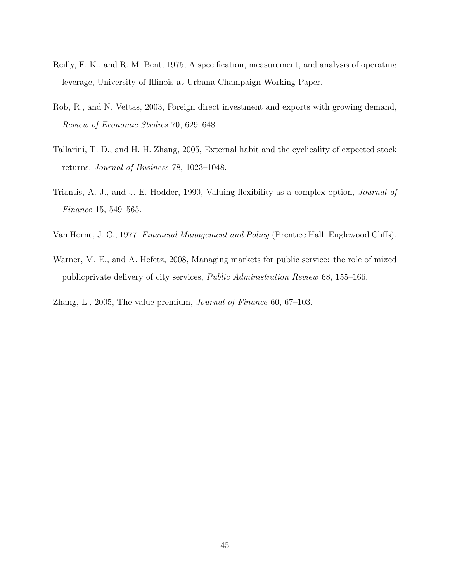- Reilly, F. K., and R. M. Bent, 1975, A specification, measurement, and analysis of operating leverage, University of Illinois at Urbana-Champaign Working Paper.
- Rob, R., and N. Vettas, 2003, Foreign direct investment and exports with growing demand, Review of Economic Studies 70, 629–648.
- Tallarini, T. D., and H. H. Zhang, 2005, External habit and the cyclicality of expected stock returns, Journal of Business 78, 1023–1048.
- Triantis, A. J., and J. E. Hodder, 1990, Valuing flexibility as a complex option, Journal of Finance 15, 549–565.
- Van Horne, J. C., 1977, Financial Management and Policy (Prentice Hall, Englewood Cliffs).
- Warner, M. E., and A. Hefetz, 2008, Managing markets for public service: the role of mixed publicprivate delivery of city services, Public Administration Review 68, 155–166.
- Zhang, L., 2005, The value premium, Journal of Finance 60, 67–103.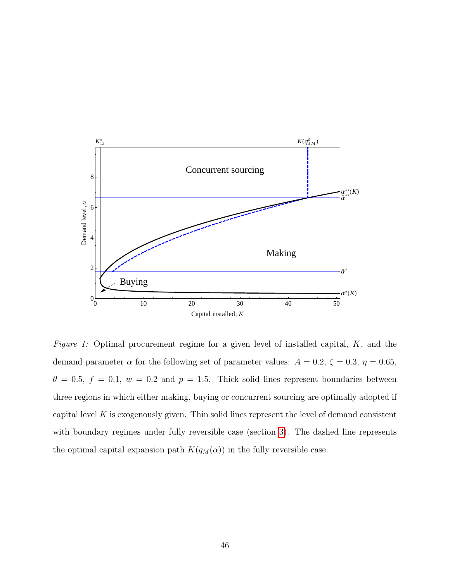<span id="page-45-0"></span>

Figure 1: Optimal procurement regime for a given level of installed capital, K, and the demand parameter  $\alpha$  for the following set of parameter values:  $A = 0.2$ ,  $\zeta = 0.3$ ,  $\eta = 0.65$ ,  $\theta = 0.5, f = 0.1, w = 0.2$  and  $p = 1.5$ . Thick solid lines represent boundaries between three regions in which either making, buying or concurrent sourcing are optimally adopted if capital level  $K$  is exogenously given. Thin solid lines represent the level of demand consistent with boundary regimes under fully reversible case (section [3\)](#page-12-0). The dashed line represents the optimal capital expansion path  $K(q_M(\alpha))$  in the fully reversible case.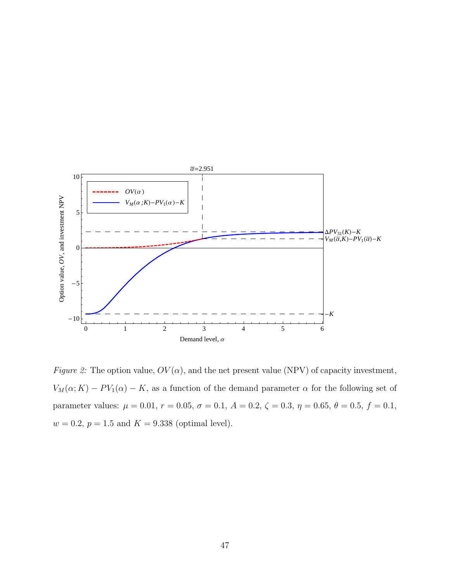<span id="page-46-0"></span>

Figure 2: The option value,  $OV(\alpha)$ , and the net present value (NPV) of capacity investment,  $V_M(\alpha; K) - PV_1(\alpha) - K$ , as a function of the demand parameter  $\alpha$  for the following set of parameter values:  $\mu = 0.01$ ,  $r = 0.05$ ,  $\sigma = 0.1$ ,  $A = 0.2$ ,  $\zeta = 0.3$ ,  $\eta = 0.65$ ,  $\theta = 0.5$ ,  $f = 0.1$ ,  $w = 0.2, p = 1.5$  and  $K = 9.338$  (optimal level).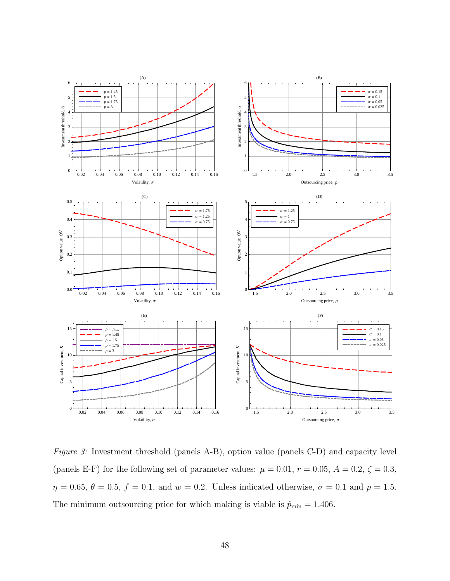<span id="page-47-0"></span>

Figure 3: Investment threshold (panels A-B), option value (panels C-D) and capacity level (panels E-F) for the following set of parameter values:  $\mu = 0.01$ ,  $r = 0.05$ ,  $A = 0.2$ ,  $\zeta = 0.3$ ,  $\eta = 0.65, \theta = 0.5, f = 0.1, \text{ and } w = 0.2.$  Unless indicated otherwise,  $\sigma = 0.1$  and  $p = 1.5$ . The minimum outsourcing price for which making is viable is  $\hat{p}_{\min} = 1.406$ .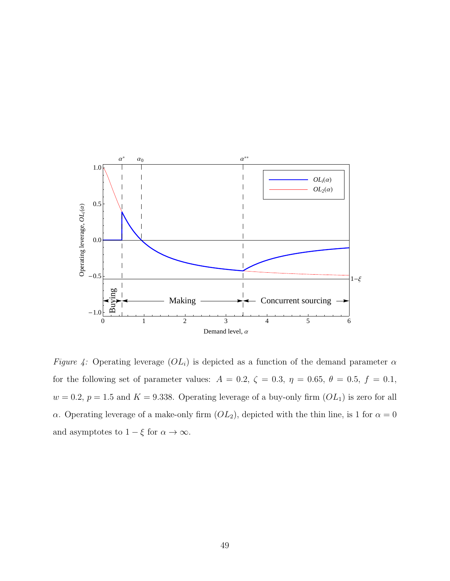<span id="page-48-0"></span>

Figure 4: Operating leverage  $(OL_i)$  is depicted as a function of the demand parameter  $\alpha$ for the following set of parameter values:  $A = 0.2$ ,  $\zeta = 0.3$ ,  $\eta = 0.65$ ,  $\theta = 0.5$ ,  $f = 0.1$ ,  $w = 0.2$ ,  $p = 1.5$  and  $K = 9.338$ . Operating leverage of a buy-only firm  $(OL<sub>1</sub>)$  is zero for all α. Operating leverage of a make-only firm  $(OL_2)$ , depicted with the thin line, is 1 for  $\alpha = 0$ and asymptotes to  $1-\xi$  for  $\alpha\to\infty.$